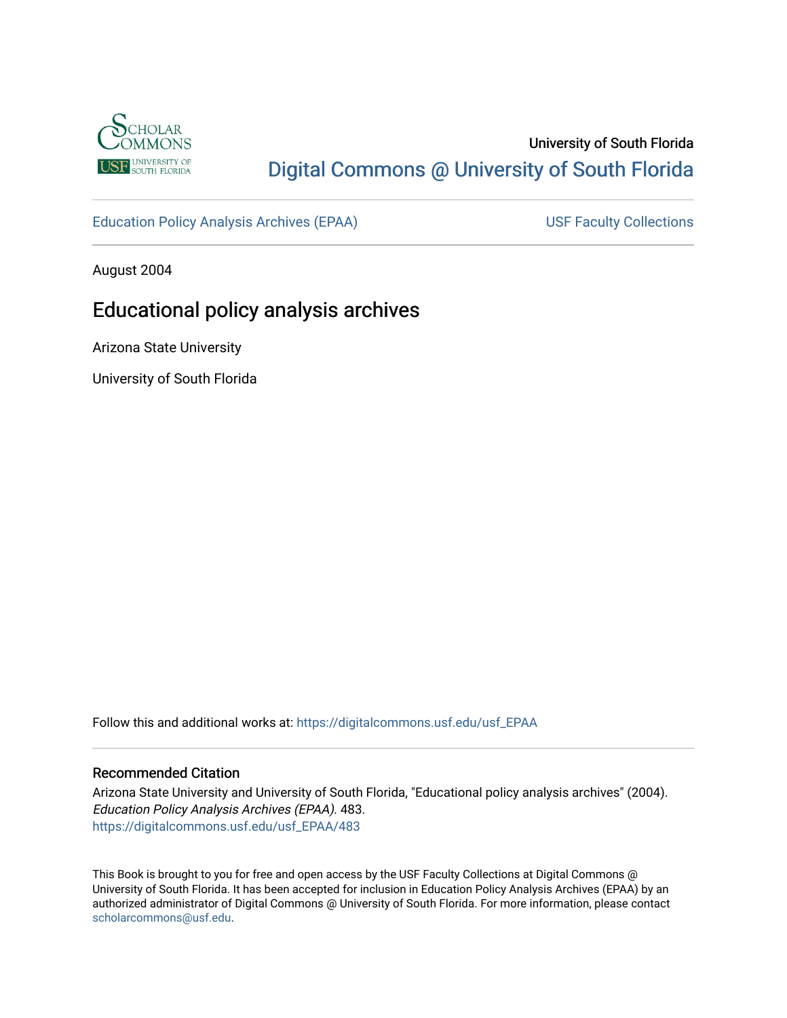

# University of South Florida [Digital Commons @ University of South Florida](https://digitalcommons.usf.edu/)

[Education Policy Analysis Archives \(EPAA\)](https://digitalcommons.usf.edu/usf_EPAA) USF Faculty Collections

August 2004

# Educational policy analysis archives

Arizona State University

University of South Florida

Follow this and additional works at: [https://digitalcommons.usf.edu/usf\\_EPAA](https://digitalcommons.usf.edu/usf_EPAA?utm_source=digitalcommons.usf.edu%2Fusf_EPAA%2F483&utm_medium=PDF&utm_campaign=PDFCoverPages)

## Recommended Citation

Arizona State University and University of South Florida, "Educational policy analysis archives" (2004). Education Policy Analysis Archives (EPAA). 483. [https://digitalcommons.usf.edu/usf\\_EPAA/483](https://digitalcommons.usf.edu/usf_EPAA/483?utm_source=digitalcommons.usf.edu%2Fusf_EPAA%2F483&utm_medium=PDF&utm_campaign=PDFCoverPages)

This Book is brought to you for free and open access by the USF Faculty Collections at Digital Commons @ University of South Florida. It has been accepted for inclusion in Education Policy Analysis Archives (EPAA) by an authorized administrator of Digital Commons @ University of South Florida. For more information, please contact [scholarcommons@usf.edu.](mailto:scholarcommons@usf.edu)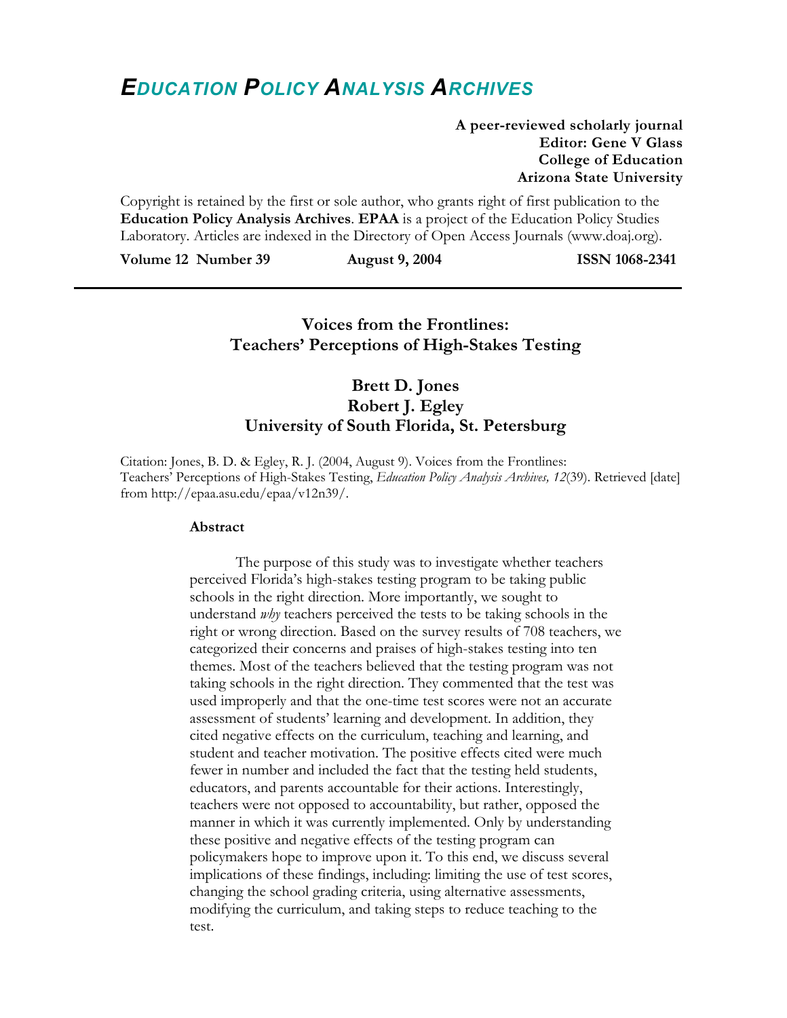# *EDUCATION POLICY ANALYSIS ARCHIVES*

**A peer-reviewed scholarly journal Editor: Gene V Glass College of Education Arizona State University** 

Copyright is retained by the first or sole author, who grants right of first publication to the **Education Policy Analysis Archives**. **EPAA** is a project of the Education Policy Studies Laboratory. Articles are indexed in the Directory of Open Access Journals (www.doaj.org).

**Volume 12 Number 39 August 9, 2004 ISSN 1068-2341** 

# **Voices from the Frontlines: Teachers' Perceptions of High-Stakes Testing**

# **Brett D. Jones Robert J. Egley University of South Florida, St. Petersburg**

Citation: Jones, B. D. & Egley, R. J. (2004, August 9). Voices from the Frontlines: Teachers' Perceptions of High-Stakes Testing, *Education Policy Analysis Archives, 12*(39). Retrieved [date] from http://epaa.asu.edu/epaa/v12n39/.

#### **Abstract**

The purpose of this study was to investigate whether teachers perceived Florida's high-stakes testing program to be taking public schools in the right direction. More importantly, we sought to understand *why* teachers perceived the tests to be taking schools in the right or wrong direction. Based on the survey results of 708 teachers, we categorized their concerns and praises of high-stakes testing into ten themes. Most of the teachers believed that the testing program was not taking schools in the right direction. They commented that the test was used improperly and that the one-time test scores were not an accurate assessment of students' learning and development. In addition, they cited negative effects on the curriculum, teaching and learning, and student and teacher motivation. The positive effects cited were much fewer in number and included the fact that the testing held students, educators, and parents accountable for their actions. Interestingly, teachers were not opposed to accountability, but rather, opposed the manner in which it was currently implemented. Only by understanding these positive and negative effects of the testing program can policymakers hope to improve upon it. To this end, we discuss several implications of these findings, including: limiting the use of test scores, changing the school grading criteria, using alternative assessments, modifying the curriculum, and taking steps to reduce teaching to the test.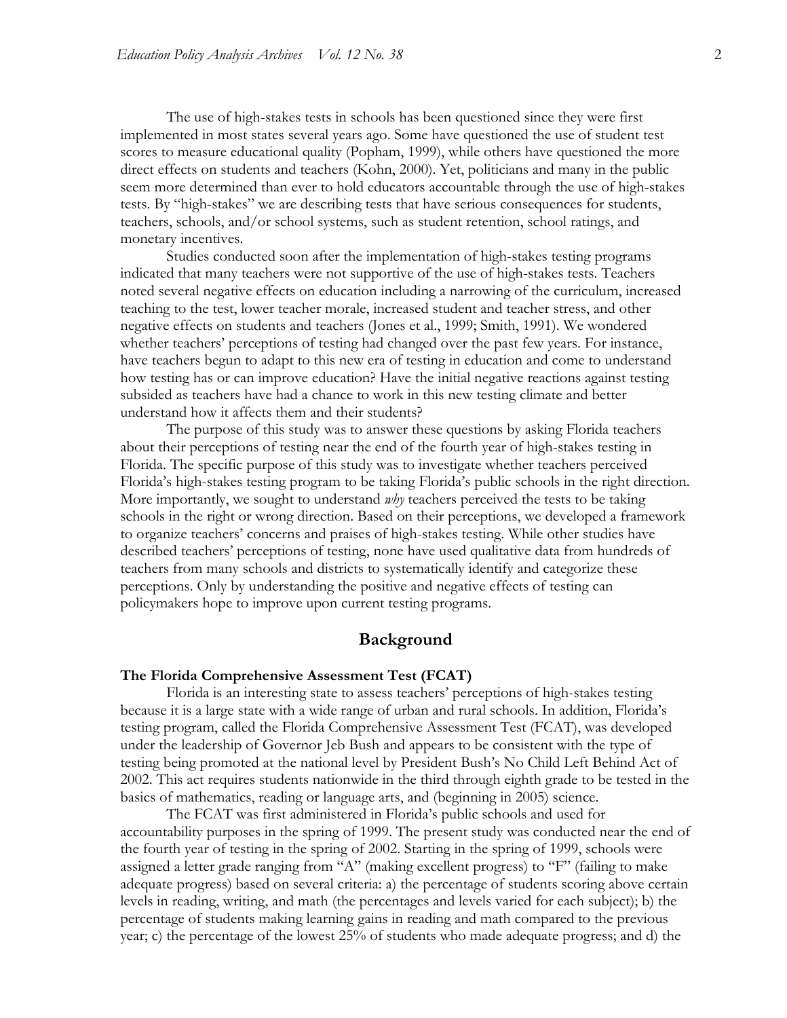The use of high-stakes tests in schools has been questioned since they were first implemented in most states several years ago. Some have questioned the use of student test scores to measure educational quality (Popham, 1999), while others have questioned the more direct effects on students and teachers (Kohn, 2000). Yet, politicians and many in the public seem more determined than ever to hold educators accountable through the use of high-stakes tests. By "high-stakes" we are describing tests that have serious consequences for students, teachers, schools, and/or school systems, such as student retention, school ratings, and monetary incentives.

Studies conducted soon after the implementation of high-stakes testing programs indicated that many teachers were not supportive of the use of high-stakes tests. Teachers noted several negative effects on education including a narrowing of the curriculum, increased teaching to the test, lower teacher morale, increased student and teacher stress, and other negative effects on students and teachers (Jones et al., 1999; Smith, 1991). We wondered whether teachers' perceptions of testing had changed over the past few years. For instance, have teachers begun to adapt to this new era of testing in education and come to understand how testing has or can improve education? Have the initial negative reactions against testing subsided as teachers have had a chance to work in this new testing climate and better understand how it affects them and their students?

The purpose of this study was to answer these questions by asking Florida teachers about their perceptions of testing near the end of the fourth year of high-stakes testing in Florida. The specific purpose of this study was to investigate whether teachers perceived Florida's high-stakes testing program to be taking Florida's public schools in the right direction. More importantly, we sought to understand *why* teachers perceived the tests to be taking schools in the right or wrong direction. Based on their perceptions, we developed a framework to organize teachers' concerns and praises of high-stakes testing. While other studies have described teachers' perceptions of testing, none have used qualitative data from hundreds of teachers from many schools and districts to systematically identify and categorize these perceptions. Only by understanding the positive and negative effects of testing can policymakers hope to improve upon current testing programs.

#### **Background**

#### **The Florida Comprehensive Assessment Test (FCAT)**

Florida is an interesting state to assess teachers' perceptions of high-stakes testing because it is a large state with a wide range of urban and rural schools. In addition, Florida's testing program, called the Florida Comprehensive Assessment Test (FCAT), was developed under the leadership of Governor Jeb Bush and appears to be consistent with the type of testing being promoted at the national level by President Bush's No Child Left Behind Act of 2002. This act requires students nationwide in the third through eighth grade to be tested in the basics of mathematics, reading or language arts, and (beginning in 2005) science.

The FCAT was first administered in Florida's public schools and used for accountability purposes in the spring of 1999. The present study was conducted near the end of the fourth year of testing in the spring of 2002. Starting in the spring of 1999, schools were assigned a letter grade ranging from "A" (making excellent progress) to "F" (failing to make adequate progress) based on several criteria: a) the percentage of students scoring above certain levels in reading, writing, and math (the percentages and levels varied for each subject); b) the percentage of students making learning gains in reading and math compared to the previous year; c) the percentage of the lowest 25% of students who made adequate progress; and d) the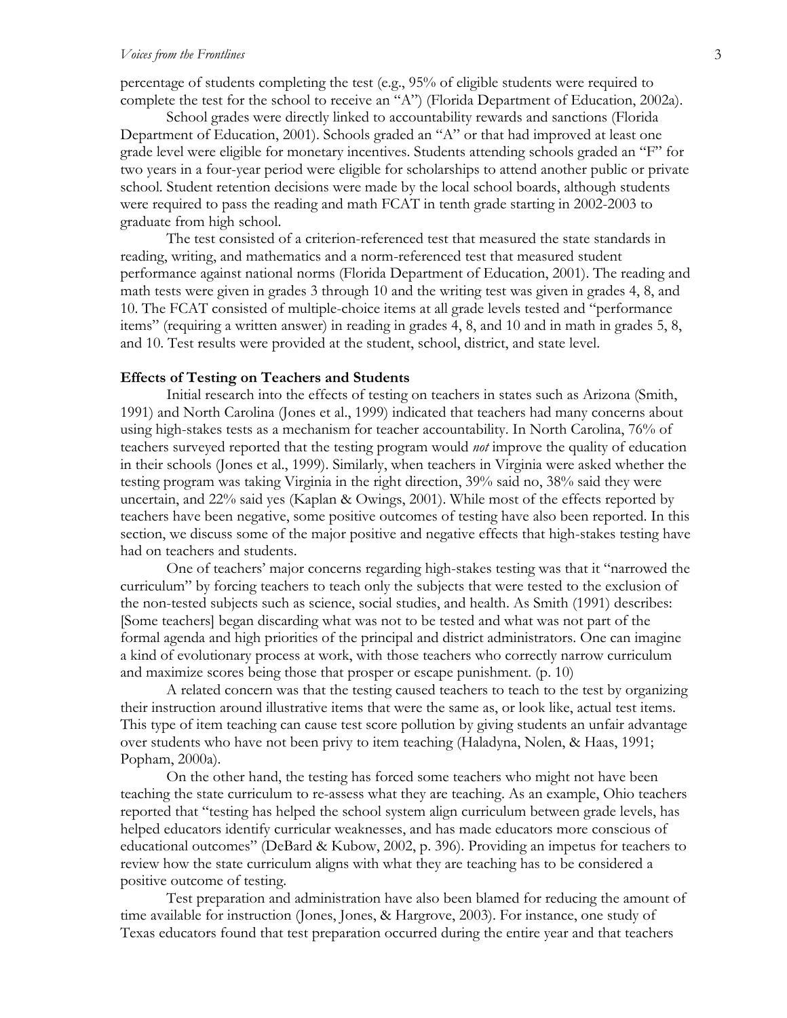percentage of students completing the test (e.g., 95% of eligible students were required to complete the test for the school to receive an "A") (Florida Department of Education, 2002a).

School grades were directly linked to accountability rewards and sanctions (Florida Department of Education, 2001). Schools graded an "A" or that had improved at least one grade level were eligible for monetary incentives. Students attending schools graded an "F" for two years in a four-year period were eligible for scholarships to attend another public or private school. Student retention decisions were made by the local school boards, although students were required to pass the reading and math FCAT in tenth grade starting in 2002-2003 to graduate from high school.

The test consisted of a criterion-referenced test that measured the state standards in reading, writing, and mathematics and a norm-referenced test that measured student performance against national norms (Florida Department of Education, 2001). The reading and math tests were given in grades 3 through 10 and the writing test was given in grades 4, 8, and 10. The FCAT consisted of multiple-choice items at all grade levels tested and "performance items" (requiring a written answer) in reading in grades 4, 8, and 10 and in math in grades 5, 8, and 10. Test results were provided at the student, school, district, and state level.

#### **Effects of Testing on Teachers and Students**

Initial research into the effects of testing on teachers in states such as Arizona (Smith, 1991) and North Carolina (Jones et al., 1999) indicated that teachers had many concerns about using high-stakes tests as a mechanism for teacher accountability. In North Carolina, 76% of teachers surveyed reported that the testing program would *not* improve the quality of education in their schools (Jones et al., 1999). Similarly, when teachers in Virginia were asked whether the testing program was taking Virginia in the right direction, 39% said no, 38% said they were uncertain, and 22% said yes (Kaplan & Owings, 2001). While most of the effects reported by teachers have been negative, some positive outcomes of testing have also been reported. In this section, we discuss some of the major positive and negative effects that high-stakes testing have had on teachers and students.

One of teachers' major concerns regarding high-stakes testing was that it "narrowed the curriculum" by forcing teachers to teach only the subjects that were tested to the exclusion of the non-tested subjects such as science, social studies, and health. As Smith (1991) describes: [Some teachers] began discarding what was not to be tested and what was not part of the formal agenda and high priorities of the principal and district administrators. One can imagine a kind of evolutionary process at work, with those teachers who correctly narrow curriculum and maximize scores being those that prosper or escape punishment. (p. 10)

A related concern was that the testing caused teachers to teach to the test by organizing their instruction around illustrative items that were the same as, or look like, actual test items. This type of item teaching can cause test score pollution by giving students an unfair advantage over students who have not been privy to item teaching (Haladyna, Nolen, & Haas, 1991; Popham, 2000a).

On the other hand, the testing has forced some teachers who might not have been teaching the state curriculum to re-assess what they are teaching. As an example, Ohio teachers reported that "testing has helped the school system align curriculum between grade levels, has helped educators identify curricular weaknesses, and has made educators more conscious of educational outcomes" (DeBard & Kubow, 2002, p. 396). Providing an impetus for teachers to review how the state curriculum aligns with what they are teaching has to be considered a positive outcome of testing.

Test preparation and administration have also been blamed for reducing the amount of time available for instruction (Jones, Jones, & Hargrove, 2003). For instance, one study of Texas educators found that test preparation occurred during the entire year and that teachers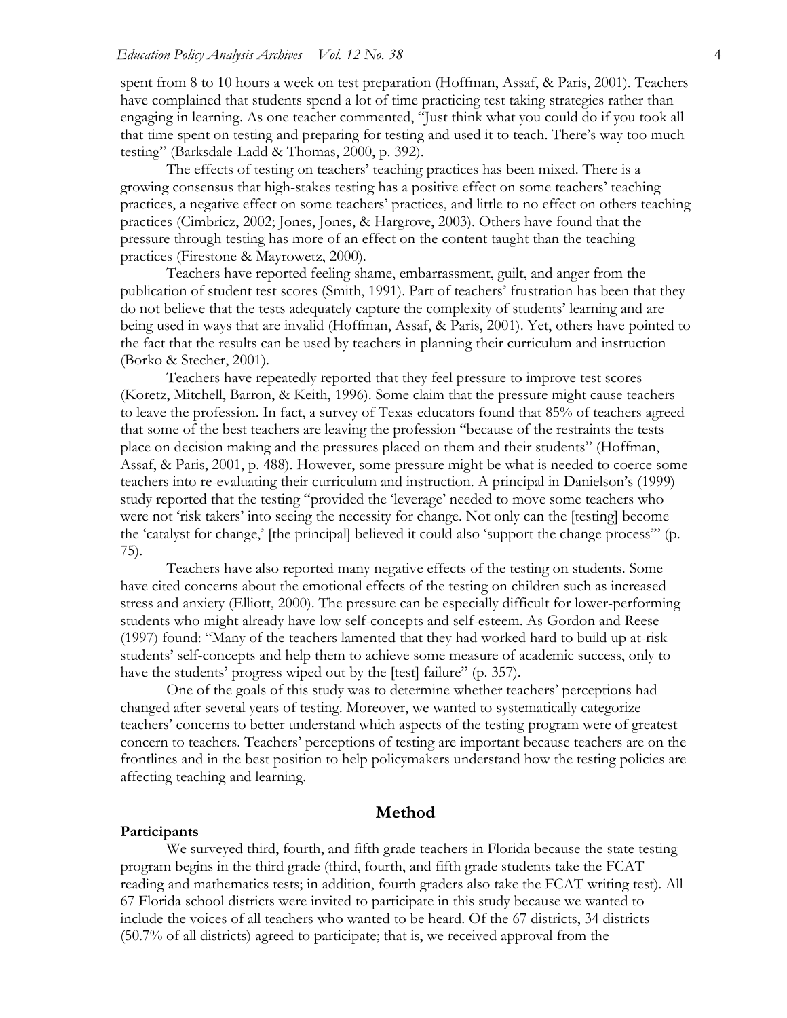spent from 8 to 10 hours a week on test preparation (Hoffman, Assaf, & Paris, 2001). Teachers have complained that students spend a lot of time practicing test taking strategies rather than engaging in learning. As one teacher commented, "Just think what you could do if you took all that time spent on testing and preparing for testing and used it to teach. There's way too much testing" (Barksdale-Ladd & Thomas, 2000, p. 392).

The effects of testing on teachers' teaching practices has been mixed. There is a growing consensus that high-stakes testing has a positive effect on some teachers' teaching practices, a negative effect on some teachers' practices, and little to no effect on others teaching practices (Cimbricz, 2002; Jones, Jones, & Hargrove, 2003). Others have found that the pressure through testing has more of an effect on the content taught than the teaching practices (Firestone & Mayrowetz, 2000).

Teachers have reported feeling shame, embarrassment, guilt, and anger from the publication of student test scores (Smith, 1991). Part of teachers' frustration has been that they do not believe that the tests adequately capture the complexity of students' learning and are being used in ways that are invalid (Hoffman, Assaf, & Paris, 2001). Yet, others have pointed to the fact that the results can be used by teachers in planning their curriculum and instruction (Borko & Stecher, 2001).

Teachers have repeatedly reported that they feel pressure to improve test scores (Koretz, Mitchell, Barron, & Keith, 1996). Some claim that the pressure might cause teachers to leave the profession. In fact, a survey of Texas educators found that 85% of teachers agreed that some of the best teachers are leaving the profession "because of the restraints the tests place on decision making and the pressures placed on them and their students" (Hoffman, Assaf, & Paris, 2001, p. 488). However, some pressure might be what is needed to coerce some teachers into re-evaluating their curriculum and instruction. A principal in Danielson's (1999) study reported that the testing "provided the 'leverage' needed to move some teachers who were not 'risk takers' into seeing the necessity for change. Not only can the [testing] become the 'catalyst for change,' [the principal] believed it could also 'support the change process'" (p. 75).

Teachers have also reported many negative effects of the testing on students. Some have cited concerns about the emotional effects of the testing on children such as increased stress and anxiety (Elliott, 2000). The pressure can be especially difficult for lower-performing students who might already have low self-concepts and self-esteem. As Gordon and Reese (1997) found: "Many of the teachers lamented that they had worked hard to build up at-risk students' self-concepts and help them to achieve some measure of academic success, only to have the students' progress wiped out by the [test] failure" (p. 357).

One of the goals of this study was to determine whether teachers' perceptions had changed after several years of testing. Moreover, we wanted to systematically categorize teachers' concerns to better understand which aspects of the testing program were of greatest concern to teachers. Teachers' perceptions of testing are important because teachers are on the frontlines and in the best position to help policymakers understand how the testing policies are affecting teaching and learning.

#### **Method**

#### **Participants**

We surveyed third, fourth, and fifth grade teachers in Florida because the state testing program begins in the third grade (third, fourth, and fifth grade students take the FCAT reading and mathematics tests; in addition, fourth graders also take the FCAT writing test). All 67 Florida school districts were invited to participate in this study because we wanted to include the voices of all teachers who wanted to be heard. Of the 67 districts, 34 districts (50.7% of all districts) agreed to participate; that is, we received approval from the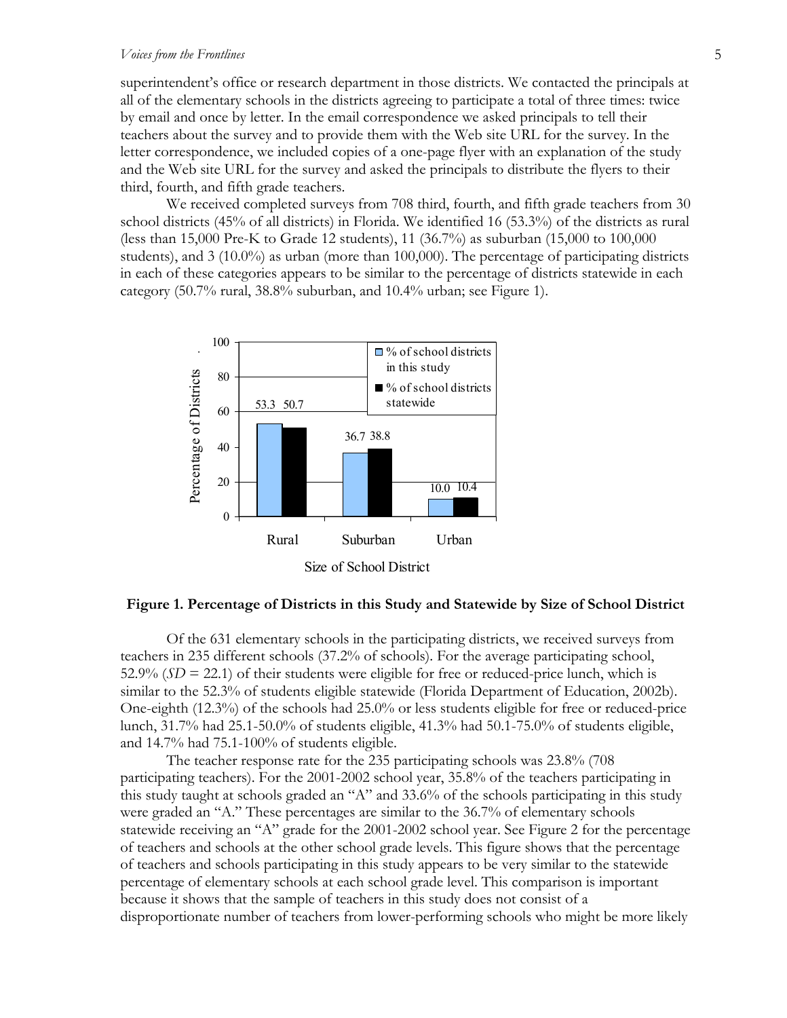#### *Voices from the Frontlines* 5

superintendent's office or research department in those districts. We contacted the principals at all of the elementary schools in the districts agreeing to participate a total of three times: twice by email and once by letter. In the email correspondence we asked principals to tell their teachers about the survey and to provide them with the Web site URL for the survey. In the letter correspondence, we included copies of a one-page flyer with an explanation of the study and the Web site URL for the survey and asked the principals to distribute the flyers to their third, fourth, and fifth grade teachers.

We received completed surveys from 708 third, fourth, and fifth grade teachers from 30 school districts (45% of all districts) in Florida. We identified 16 (53.3%) of the districts as rural (less than 15,000 Pre-K to Grade 12 students), 11 (36.7%) as suburban (15,000 to 100,000 students), and 3 (10.0%) as urban (more than 100,000). The percentage of participating districts in each of these categories appears to be similar to the percentage of districts statewide in each category (50.7% rural, 38.8% suburban, and 10.4% urban; see Figure 1).



#### **Figure 1. Percentage of Districts in this Study and Statewide by Size of School District**

Of the 631 elementary schools in the participating districts, we received surveys from teachers in 235 different schools (37.2% of schools). For the average participating school, 52.9%  $(SD = 22.1)$  of their students were eligible for free or reduced-price lunch, which is similar to the 52.3% of students eligible statewide (Florida Department of Education, 2002b). One-eighth (12.3%) of the schools had 25.0% or less students eligible for free or reduced-price lunch, 31.7% had 25.1-50.0% of students eligible, 41.3% had 50.1-75.0% of students eligible, and 14.7% had 75.1-100% of students eligible.

The teacher response rate for the 235 participating schools was 23.8% (708 participating teachers). For the 2001-2002 school year, 35.8% of the teachers participating in this study taught at schools graded an "A" and 33.6% of the schools participating in this study were graded an "A." These percentages are similar to the 36.7% of elementary schools statewide receiving an "A" grade for the 2001-2002 school year. See Figure 2 for the percentage of teachers and schools at the other school grade levels. This figure shows that the percentage of teachers and schools participating in this study appears to be very similar to the statewide percentage of elementary schools at each school grade level. This comparison is important because it shows that the sample of teachers in this study does not consist of a disproportionate number of teachers from lower-performing schools who might be more likely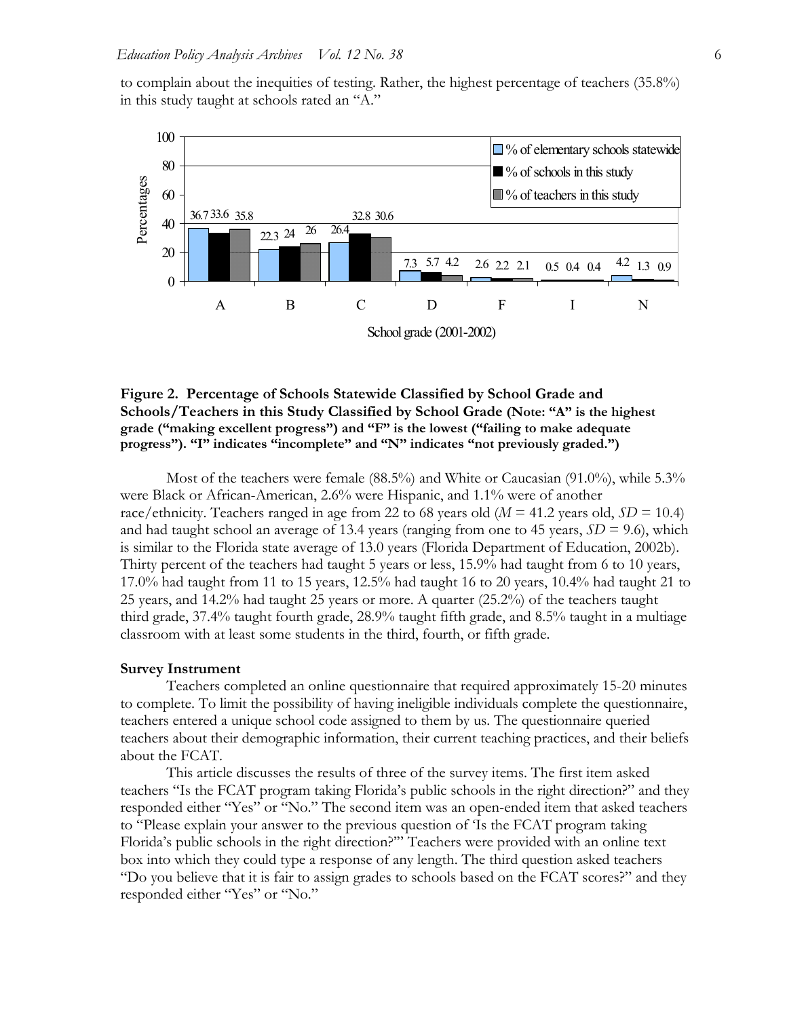to complain about the inequities of testing. Rather, the highest percentage of teachers (35.8%) in this study taught at schools rated an "A."



## **Figure 2. Percentage of Schools Statewide Classified by School Grade and Schools/Teachers in this Study Classified by School Grade (Note: "A" is the highest grade ("making excellent progress") and "F" is the lowest ("failing to make adequate progress"). "I" indicates "incomplete" and "N" indicates "not previously graded.")**

Most of the teachers were female (88.5%) and White or Caucasian (91.0%), while 5.3% were Black or African-American, 2.6% were Hispanic, and 1.1% were of another race/ethnicity. Teachers ranged in age from 22 to 68 years old (*M* = 41.2 years old, *SD* = 10.4) and had taught school an average of 13.4 years (ranging from one to 45 years,  $SD = 9.6$ ), which is similar to the Florida state average of 13.0 years (Florida Department of Education, 2002b). Thirty percent of the teachers had taught 5 years or less, 15.9% had taught from 6 to 10 years, 17.0% had taught from 11 to 15 years, 12.5% had taught 16 to 20 years, 10.4% had taught 21 to 25 years, and 14.2% had taught 25 years or more. A quarter (25.2%) of the teachers taught third grade, 37.4% taught fourth grade, 28.9% taught fifth grade, and 8.5% taught in a multiage classroom with at least some students in the third, fourth, or fifth grade.

#### **Survey Instrument**

Teachers completed an online questionnaire that required approximately 15-20 minutes to complete. To limit the possibility of having ineligible individuals complete the questionnaire, teachers entered a unique school code assigned to them by us. The questionnaire queried teachers about their demographic information, their current teaching practices, and their beliefs about the FCAT.

This article discusses the results of three of the survey items. The first item asked teachers "Is the FCAT program taking Florida's public schools in the right direction?" and they responded either "Yes" or "No." The second item was an open-ended item that asked teachers to "Please explain your answer to the previous question of 'Is the FCAT program taking Florida's public schools in the right direction?'" Teachers were provided with an online text box into which they could type a response of any length. The third question asked teachers "Do you believe that it is fair to assign grades to schools based on the FCAT scores?" and they responded either "Yes" or "No."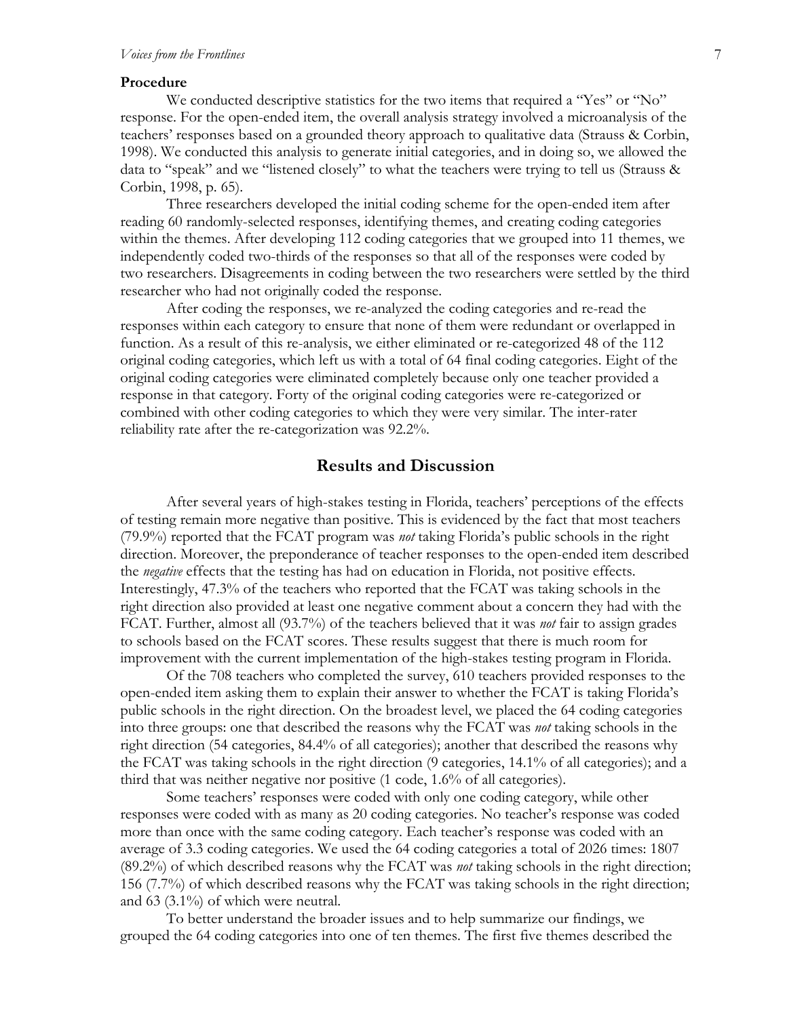#### **Procedure**

We conducted descriptive statistics for the two items that required a "Yes" or "No" response. For the open-ended item, the overall analysis strategy involved a microanalysis of the teachers' responses based on a grounded theory approach to qualitative data (Strauss & Corbin, 1998). We conducted this analysis to generate initial categories, and in doing so, we allowed the data to "speak" and we "listened closely" to what the teachers were trying to tell us (Strauss & Corbin, 1998, p. 65).

Three researchers developed the initial coding scheme for the open-ended item after reading 60 randomly-selected responses, identifying themes, and creating coding categories within the themes. After developing 112 coding categories that we grouped into 11 themes, we independently coded two-thirds of the responses so that all of the responses were coded by two researchers. Disagreements in coding between the two researchers were settled by the third researcher who had not originally coded the response.

After coding the responses, we re-analyzed the coding categories and re-read the responses within each category to ensure that none of them were redundant or overlapped in function. As a result of this re-analysis, we either eliminated or re-categorized 48 of the 112 original coding categories, which left us with a total of 64 final coding categories. Eight of the original coding categories were eliminated completely because only one teacher provided a response in that category. Forty of the original coding categories were re-categorized or combined with other coding categories to which they were very similar. The inter-rater reliability rate after the re-categorization was 92.2%.

# **Results and Discussion**

After several years of high-stakes testing in Florida, teachers' perceptions of the effects of testing remain more negative than positive. This is evidenced by the fact that most teachers (79.9%) reported that the FCAT program was *not* taking Florida's public schools in the right direction. Moreover, the preponderance of teacher responses to the open-ended item described the *negative* effects that the testing has had on education in Florida, not positive effects. Interestingly, 47.3% of the teachers who reported that the FCAT was taking schools in the right direction also provided at least one negative comment about a concern they had with the FCAT. Further, almost all (93.7%) of the teachers believed that it was *not* fair to assign grades to schools based on the FCAT scores. These results suggest that there is much room for improvement with the current implementation of the high-stakes testing program in Florida.

Of the 708 teachers who completed the survey, 610 teachers provided responses to the open-ended item asking them to explain their answer to whether the FCAT is taking Florida's public schools in the right direction. On the broadest level, we placed the 64 coding categories into three groups: one that described the reasons why the FCAT was *not* taking schools in the right direction (54 categories, 84.4% of all categories); another that described the reasons why the FCAT was taking schools in the right direction (9 categories, 14.1% of all categories); and a third that was neither negative nor positive (1 code, 1.6% of all categories).

Some teachers' responses were coded with only one coding category, while other responses were coded with as many as 20 coding categories. No teacher's response was coded more than once with the same coding category. Each teacher's response was coded with an average of 3.3 coding categories. We used the 64 coding categories a total of 2026 times: 1807 (89.2%) of which described reasons why the FCAT was *not* taking schools in the right direction; 156 (7.7%) of which described reasons why the FCAT was taking schools in the right direction; and 63 (3.1%) of which were neutral.

To better understand the broader issues and to help summarize our findings, we grouped the 64 coding categories into one of ten themes. The first five themes described the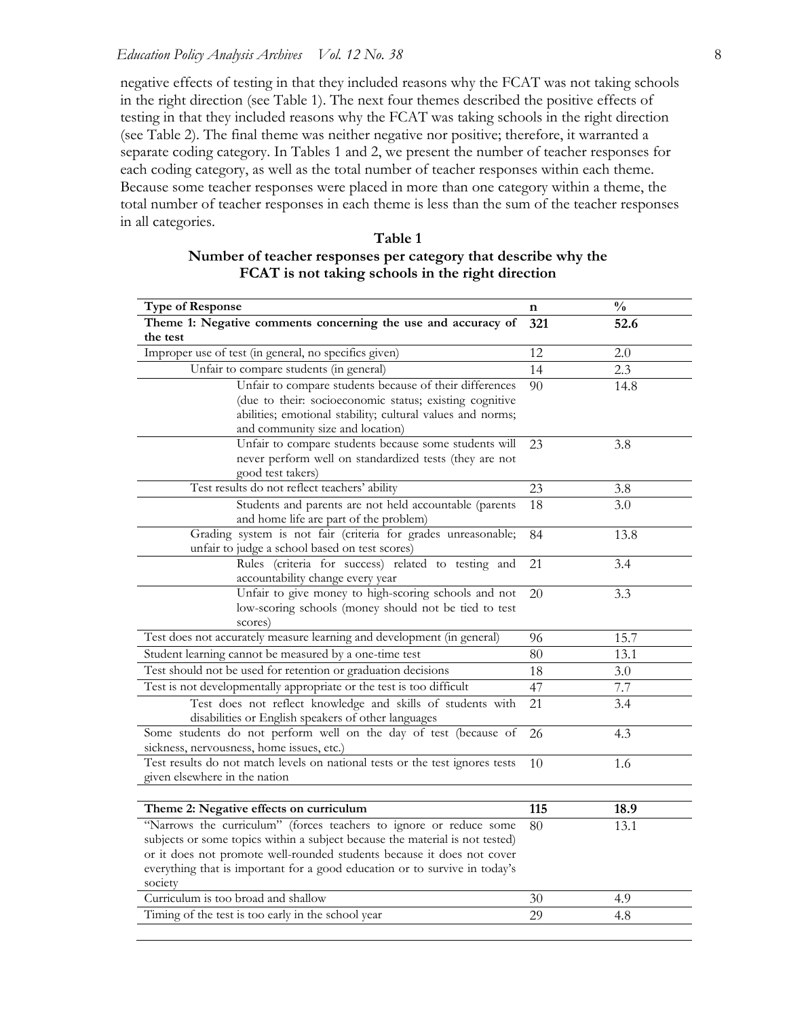negative effects of testing in that they included reasons why the FCAT was not taking schools in the right direction (see Table 1). The next four themes described the positive effects of testing in that they included reasons why the FCAT was taking schools in the right direction (see Table 2). The final theme was neither negative nor positive; therefore, it warranted a separate coding category. In Tables 1 and 2, we present the number of teacher responses for each coding category, as well as the total number of teacher responses within each theme. Because some teacher responses were placed in more than one category within a theme, the total number of teacher responses in each theme is less than the sum of the teacher responses in all categories.

| <b>Type of Response</b>                                                                                                   | n   | $\frac{0}{0}$ |
|---------------------------------------------------------------------------------------------------------------------------|-----|---------------|
| Theme 1: Negative comments concerning the use and accuracy of<br>the test                                                 | 321 | 52.6          |
| Improper use of test (in general, no specifics given)                                                                     | 12  | 2.0           |
| Unfair to compare students (in general)                                                                                   | 14  | 2.3           |
| Unfair to compare students because of their differences                                                                   | 90  | 14.8          |
| (due to their: socioeconomic status; existing cognitive                                                                   |     |               |
| abilities; emotional stability; cultural values and norms;                                                                |     |               |
| and community size and location)                                                                                          |     |               |
| Unfair to compare students because some students will                                                                     | 23  | 3.8           |
| never perform well on standardized tests (they are not                                                                    |     |               |
| good test takers)                                                                                                         |     |               |
| Test results do not reflect teachers' ability                                                                             | 23  | 3.8           |
| Students and parents are not held accountable (parents<br>and home life are part of the problem)                          | 18  | 3.0           |
| Grading system is not fair (criteria for grades unreasonable;                                                             | 84  | 13.8          |
| unfair to judge a school based on test scores)                                                                            |     |               |
| Rules (criteria for success) related to testing and                                                                       | 21  | 3.4           |
| accountability change every year                                                                                          |     |               |
| Unfair to give money to high-scoring schools and not                                                                      | 20  | 3.3           |
| low-scoring schools (money should not be tied to test                                                                     |     |               |
| scores)                                                                                                                   |     | 15.7          |
| Test does not accurately measure learning and development (in general)                                                    | 96  |               |
| Student learning cannot be measured by a one-time test                                                                    | 80  | 13.1          |
| Test should not be used for retention or graduation decisions                                                             | 18  | 3.0           |
| Test is not developmentally appropriate or the test is too difficult                                                      | 47  | 7.7           |
| Test does not reflect knowledge and skills of students with<br>disabilities or English speakers of other languages        | 21  | 3.4           |
| Some students do not perform well on the day of test (because of                                                          | 26  | 4.3           |
| sickness, nervousness, home issues, etc.)<br>Test results do not match levels on national tests or the test ignores tests |     |               |
| given elsewhere in the nation                                                                                             | 10  | 1.6           |
|                                                                                                                           |     |               |
| Theme 2: Negative effects on curriculum                                                                                   | 115 | 18.9          |
| "Narrows the curriculum" (forces teachers to ignore or reduce some                                                        | 80  | 13.1          |
| subjects or some topics within a subject because the material is not tested)                                              |     |               |
| or it does not promote well-rounded students because it does not cover                                                    |     |               |
| everything that is important for a good education or to survive in today's                                                |     |               |
| society                                                                                                                   |     |               |
| Curriculum is too broad and shallow                                                                                       | 30  | 4.9           |
| Timing of the test is too early in the school year                                                                        | 29  | 4.8           |

**Table 1 Number of teacher responses per category that describe why the FCAT is not taking schools in the right direction**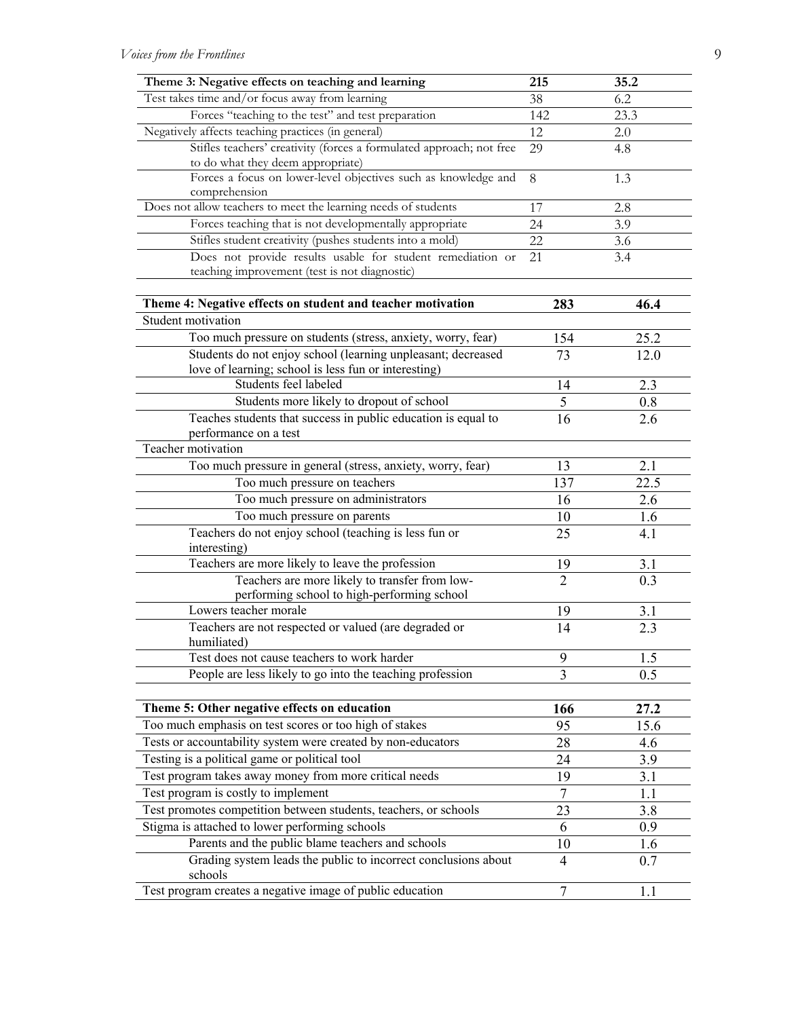| Theme 3: Negative effects on teaching and learning                              | 215            | 35.2 |
|---------------------------------------------------------------------------------|----------------|------|
| Test takes time and/or focus away from learning                                 | 38             | 6.2  |
| Forces "teaching to the test" and test preparation                              | 142            | 23.3 |
| Negatively affects teaching practices (in general)                              | 12             | 2.0  |
| Stifles teachers' creativity (forces a formulated approach; not free            | 29             | 4.8  |
| to do what they deem appropriate)                                               |                |      |
| Forces a focus on lower-level objectives such as knowledge and<br>comprehension | 8              | 1.3  |
| Does not allow teachers to meet the learning needs of students                  | 17             | 2.8  |
| Forces teaching that is not developmentally appropriate                         | 24             | 3.9  |
| Stifles student creativity (pushes students into a mold)                        | 22             | 3.6  |
| Does not provide results usable for student remediation or                      | 21             | 3.4  |
| teaching improvement (test is not diagnostic)                                   |                |      |
| Theme 4: Negative effects on student and teacher motivation                     | 283            | 46.4 |
| Student motivation                                                              |                |      |
| Too much pressure on students (stress, anxiety, worry, fear)                    | 154            | 25.2 |
| Students do not enjoy school (learning unpleasant; decreased                    | 73             | 12.0 |
| love of learning; school is less fun or interesting)                            |                |      |
| Students feel labeled                                                           | 14             | 2.3  |
| Students more likely to dropout of school                                       | $\mathfrak s$  | 0.8  |
| Teaches students that success in public education is equal to                   | 16             | 2.6  |
| performance on a test                                                           |                |      |
| Teacher motivation                                                              |                |      |
| Too much pressure in general (stress, anxiety, worry, fear)                     | 13             | 2.1  |
| Too much pressure on teachers                                                   | 137            | 22.5 |
| Too much pressure on administrators                                             | 16             | 2.6  |
| Too much pressure on parents                                                    | 10             | 1.6  |
| Teachers do not enjoy school (teaching is less fun or<br>interesting)           | 25             | 4.1  |
| Teachers are more likely to leave the profession                                | 19             | 3.1  |
| Teachers are more likely to transfer from low-                                  | $\overline{2}$ | 0.3  |
| performing school to high-performing school                                     |                |      |
| Lowers teacher morale                                                           | 19             | 3.1  |
| Teachers are not respected or valued (are degraded or                           | 14             | 2.3  |
| humiliated)                                                                     |                |      |
| Test does not cause teachers to work harder                                     | 9              | 1.5  |
| People are less likely to go into the teaching profession                       | 3              | 0.5  |
|                                                                                 |                |      |
| Theme 5: Other negative effects on education                                    | 166            | 27.2 |
| Too much emphasis on test scores or too high of stakes                          | 95             | 15.6 |
| Tests or accountability system were created by non-educators                    | 28             | 4.6  |
| Testing is a political game or political tool                                   | 24             | 3.9  |
| Test program takes away money from more critical needs                          | 19             | 3.1  |
| Test program is costly to implement                                             | $\overline{7}$ | 1.1  |
| Test promotes competition between students, teachers, or schools                | 23             | 3.8  |
| Stigma is attached to lower performing schools                                  | 6              | 0.9  |
| Parents and the public blame teachers and schools                               | 10             | 1.6  |
| Grading system leads the public to incorrect conclusions about<br>schools       | 4              | 0.7  |
| Test program creates a negative image of public education                       | 7              | 1.1  |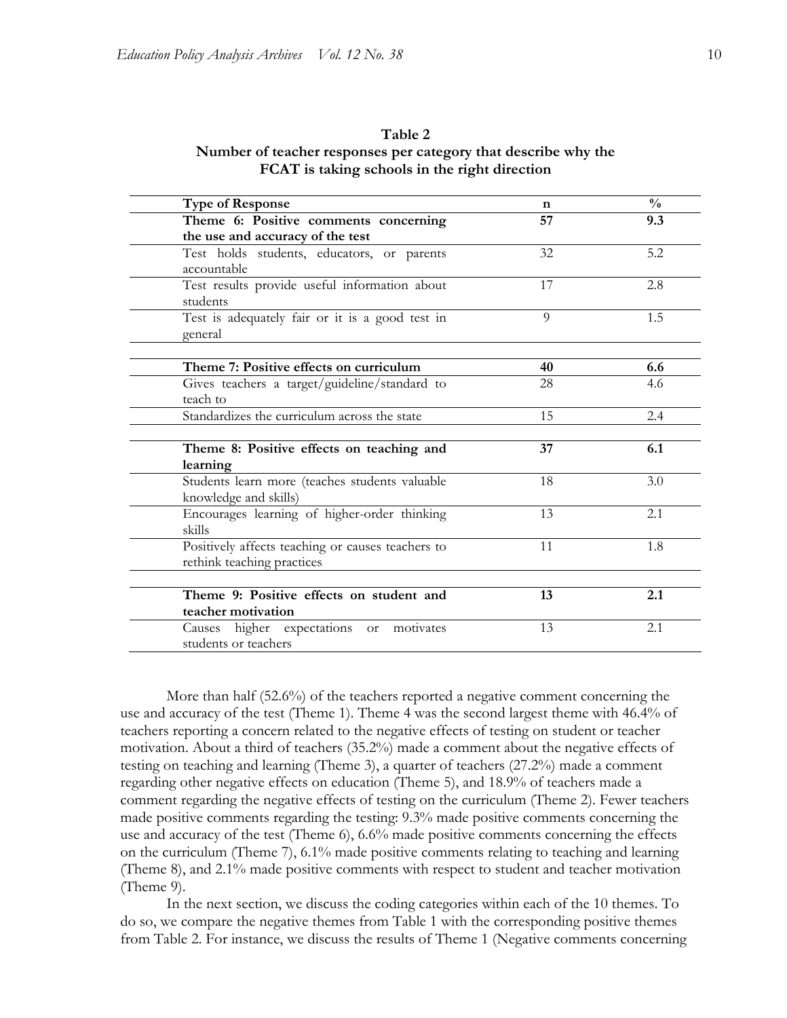## **Table 2 Number of teacher responses per category that describe why the FCAT is taking schools in the right direction**

| <b>Type of Response</b>                           | n  | $\frac{0}{0}$ |
|---------------------------------------------------|----|---------------|
| Theme 6: Positive comments concerning             | 57 | 9.3           |
| the use and accuracy of the test                  |    |               |
| Test holds students, educators, or parents        | 32 | 5.2           |
| accountable                                       |    |               |
| Test results provide useful information about     | 17 | 2.8           |
| students                                          |    |               |
| Test is adequately fair or it is a good test in   | 9  | 1.5           |
| general                                           |    |               |
|                                                   |    |               |
| Theme 7: Positive effects on curriculum           | 40 | 6.6           |
| Gives teachers a target/guideline/standard to     | 28 | 4.6           |
| teach to                                          |    |               |
| Standardizes the curriculum across the state      | 15 | 2.4           |
|                                                   |    |               |
| Theme 8: Positive effects on teaching and         | 37 | 6.1           |
| learning                                          |    |               |
| Students learn more (teaches students valuable    | 18 | 3.0           |
| knowledge and skills)                             |    |               |
| Encourages learning of higher-order thinking      | 13 | 2.1           |
| skills                                            |    |               |
| Positively affects teaching or causes teachers to | 11 | 1.8           |
| rethink teaching practices                        |    |               |
|                                                   |    |               |
| Theme 9: Positive effects on student and          | 13 | 2.1           |
| teacher motivation                                |    |               |
| Causes higher expectations or motivates           | 13 | 2.1           |
| students or teachers                              |    |               |

More than half (52.6%) of the teachers reported a negative comment concerning the use and accuracy of the test (Theme 1). Theme 4 was the second largest theme with 46.4% of teachers reporting a concern related to the negative effects of testing on student or teacher motivation. About a third of teachers (35.2%) made a comment about the negative effects of testing on teaching and learning (Theme 3), a quarter of teachers (27.2%) made a comment regarding other negative effects on education (Theme 5), and 18.9% of teachers made a comment regarding the negative effects of testing on the curriculum (Theme 2). Fewer teachers made positive comments regarding the testing: 9.3% made positive comments concerning the use and accuracy of the test (Theme 6), 6.6% made positive comments concerning the effects on the curriculum (Theme 7), 6.1% made positive comments relating to teaching and learning (Theme 8), and 2.1% made positive comments with respect to student and teacher motivation (Theme 9).

In the next section, we discuss the coding categories within each of the 10 themes. To do so, we compare the negative themes from Table 1 with the corresponding positive themes from Table 2. For instance, we discuss the results of Theme 1 (Negative comments concerning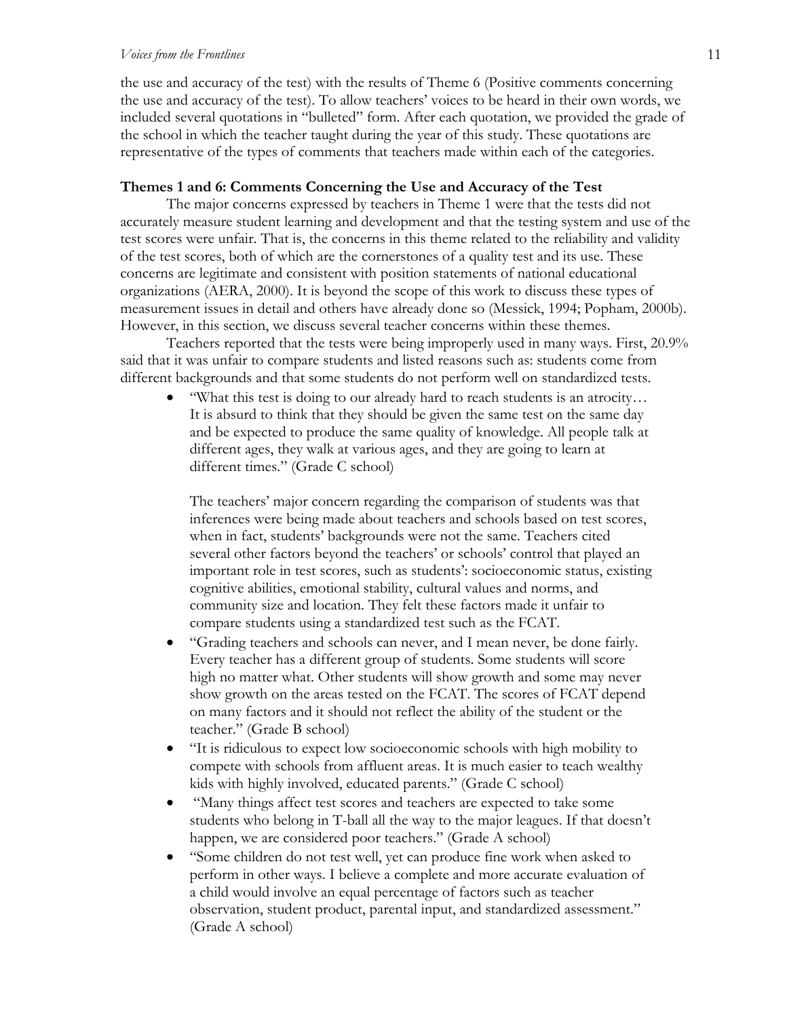#### *Voices from the Frontlines* 11

the use and accuracy of the test) with the results of Theme 6 (Positive comments concerning the use and accuracy of the test). To allow teachers' voices to be heard in their own words, we included several quotations in "bulleted" form. After each quotation, we provided the grade of the school in which the teacher taught during the year of this study. These quotations are representative of the types of comments that teachers made within each of the categories.

#### **Themes 1 and 6: Comments Concerning the Use and Accuracy of the Test**

The major concerns expressed by teachers in Theme 1 were that the tests did not accurately measure student learning and development and that the testing system and use of the test scores were unfair. That is, the concerns in this theme related to the reliability and validity of the test scores, both of which are the cornerstones of a quality test and its use. These concerns are legitimate and consistent with position statements of national educational organizations (AERA, 2000). It is beyond the scope of this work to discuss these types of measurement issues in detail and others have already done so (Messick, 1994; Popham, 2000b). However, in this section, we discuss several teacher concerns within these themes.

Teachers reported that the tests were being improperly used in many ways. First, 20.9% said that it was unfair to compare students and listed reasons such as: students come from different backgrounds and that some students do not perform well on standardized tests.

• "What this test is doing to our already hard to reach students is an atrocity… It is absurd to think that they should be given the same test on the same day and be expected to produce the same quality of knowledge. All people talk at different ages, they walk at various ages, and they are going to learn at different times." (Grade C school)

The teachers' major concern regarding the comparison of students was that inferences were being made about teachers and schools based on test scores, when in fact, students' backgrounds were not the same. Teachers cited several other factors beyond the teachers' or schools' control that played an important role in test scores, such as students': socioeconomic status, existing cognitive abilities, emotional stability, cultural values and norms, and community size and location. They felt these factors made it unfair to compare students using a standardized test such as the FCAT.

- "Grading teachers and schools can never, and I mean never, be done fairly. Every teacher has a different group of students. Some students will score high no matter what. Other students will show growth and some may never show growth on the areas tested on the FCAT. The scores of FCAT depend on many factors and it should not reflect the ability of the student or the teacher." (Grade B school)
- "It is ridiculous to expect low socioeconomic schools with high mobility to compete with schools from affluent areas. It is much easier to teach wealthy kids with highly involved, educated parents." (Grade C school)
- "Many things affect test scores and teachers are expected to take some students who belong in T-ball all the way to the major leagues. If that doesn't happen, we are considered poor teachers." (Grade A school)
- "Some children do not test well, yet can produce fine work when asked to perform in other ways. I believe a complete and more accurate evaluation of a child would involve an equal percentage of factors such as teacher observation, student product, parental input, and standardized assessment." (Grade A school)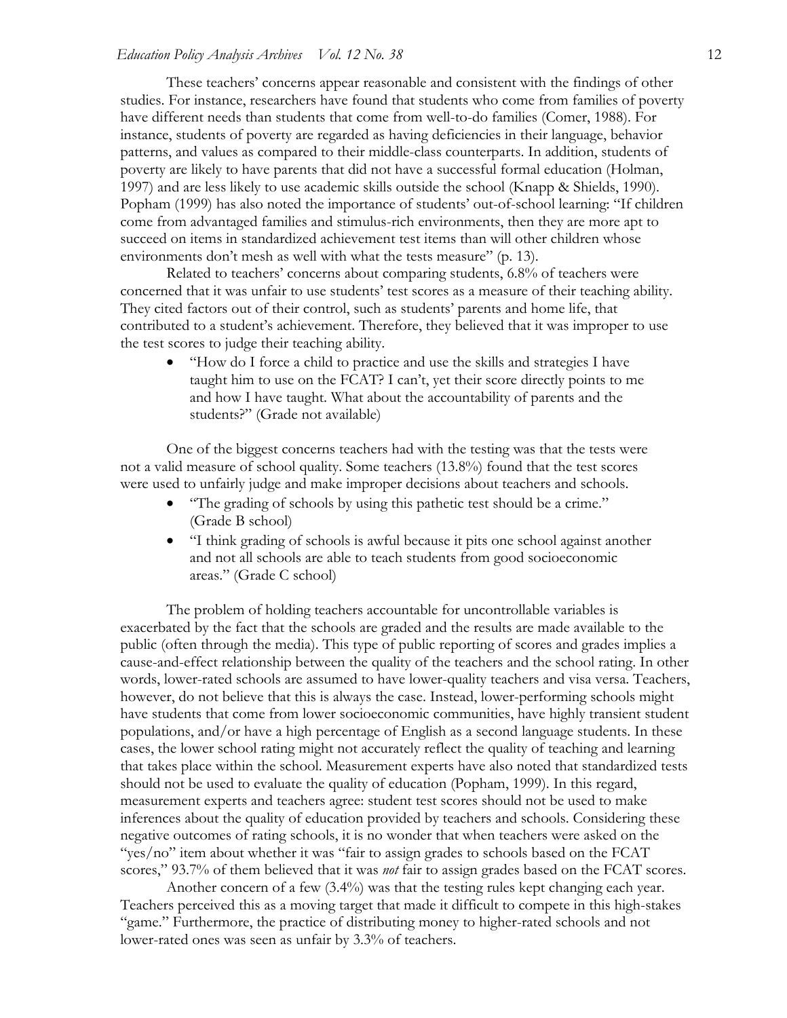These teachers' concerns appear reasonable and consistent with the findings of other studies. For instance, researchers have found that students who come from families of poverty have different needs than students that come from well-to-do families (Comer, 1988). For instance, students of poverty are regarded as having deficiencies in their language, behavior patterns, and values as compared to their middle-class counterparts. In addition, students of poverty are likely to have parents that did not have a successful formal education (Holman, 1997) and are less likely to use academic skills outside the school (Knapp & Shields, 1990). Popham (1999) has also noted the importance of students' out-of-school learning: "If children come from advantaged families and stimulus-rich environments, then they are more apt to succeed on items in standardized achievement test items than will other children whose environments don't mesh as well with what the tests measure" (p. 13).

Related to teachers' concerns about comparing students, 6.8% of teachers were concerned that it was unfair to use students' test scores as a measure of their teaching ability. They cited factors out of their control, such as students' parents and home life, that contributed to a student's achievement. Therefore, they believed that it was improper to use the test scores to judge their teaching ability.

• "How do I force a child to practice and use the skills and strategies I have taught him to use on the FCAT? I can't, yet their score directly points to me and how I have taught. What about the accountability of parents and the students?" (Grade not available)

One of the biggest concerns teachers had with the testing was that the tests were not a valid measure of school quality. Some teachers (13.8%) found that the test scores were used to unfairly judge and make improper decisions about teachers and schools.

- "The grading of schools by using this pathetic test should be a crime." (Grade B school)
- "I think grading of schools is awful because it pits one school against another and not all schools are able to teach students from good socioeconomic areas." (Grade C school)

The problem of holding teachers accountable for uncontrollable variables is exacerbated by the fact that the schools are graded and the results are made available to the public (often through the media). This type of public reporting of scores and grades implies a cause-and-effect relationship between the quality of the teachers and the school rating. In other words, lower-rated schools are assumed to have lower-quality teachers and visa versa. Teachers, however, do not believe that this is always the case. Instead, lower-performing schools might have students that come from lower socioeconomic communities, have highly transient student populations, and/or have a high percentage of English as a second language students. In these cases, the lower school rating might not accurately reflect the quality of teaching and learning that takes place within the school. Measurement experts have also noted that standardized tests should not be used to evaluate the quality of education (Popham, 1999). In this regard, measurement experts and teachers agree: student test scores should not be used to make inferences about the quality of education provided by teachers and schools. Considering these negative outcomes of rating schools, it is no wonder that when teachers were asked on the "yes/no" item about whether it was "fair to assign grades to schools based on the FCAT scores," 93.7% of them believed that it was *not* fair to assign grades based on the FCAT scores.

Another concern of a few (3.4%) was that the testing rules kept changing each year. Teachers perceived this as a moving target that made it difficult to compete in this high-stakes "game." Furthermore, the practice of distributing money to higher-rated schools and not lower-rated ones was seen as unfair by 3.3% of teachers.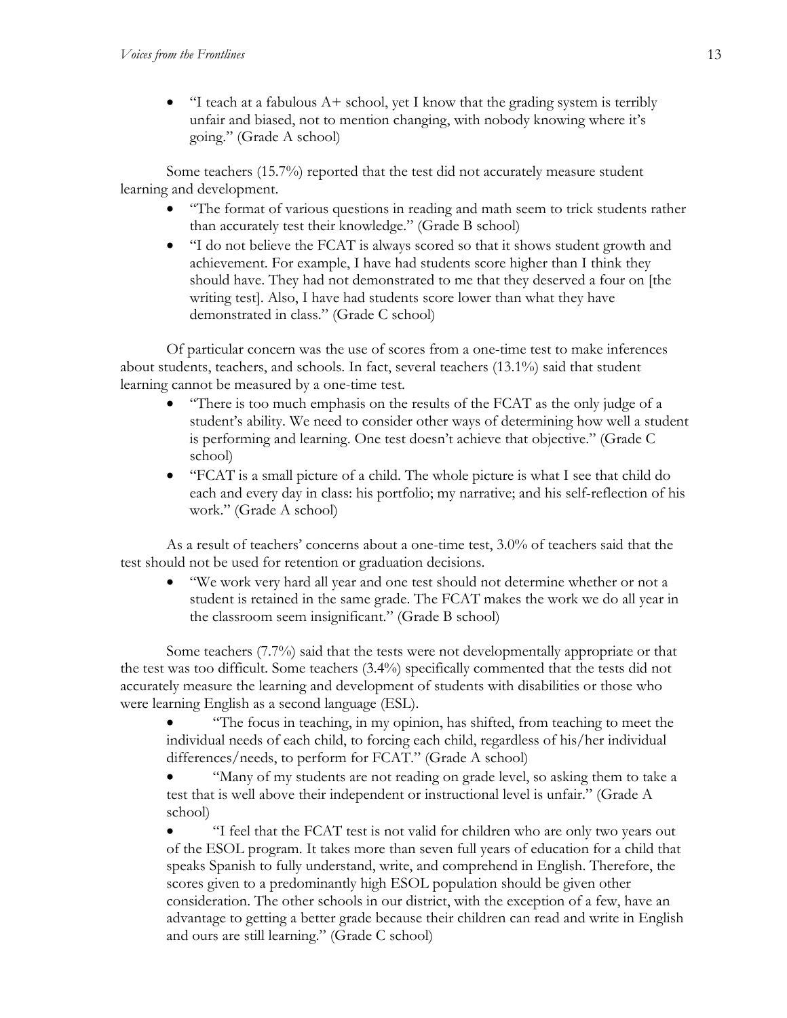• "I teach at a fabulous  $A+$  school, yet I know that the grading system is terribly unfair and biased, not to mention changing, with nobody knowing where it's going." (Grade A school)

Some teachers (15.7%) reported that the test did not accurately measure student learning and development.

- "The format of various questions in reading and math seem to trick students rather than accurately test their knowledge." (Grade B school)
- "I do not believe the FCAT is always scored so that it shows student growth and achievement. For example, I have had students score higher than I think they should have. They had not demonstrated to me that they deserved a four on [the writing test]. Also, I have had students score lower than what they have demonstrated in class." (Grade C school)

 Of particular concern was the use of scores from a one-time test to make inferences about students, teachers, and schools. In fact, several teachers (13.1%) said that student learning cannot be measured by a one-time test.

- "There is too much emphasis on the results of the FCAT as the only judge of a student's ability. We need to consider other ways of determining how well a student is performing and learning. One test doesn't achieve that objective." (Grade C school)
- "FCAT is a small picture of a child. The whole picture is what I see that child do each and every day in class: his portfolio; my narrative; and his self-reflection of his work." (Grade A school)

As a result of teachers' concerns about a one-time test, 3.0% of teachers said that the test should not be used for retention or graduation decisions.

• "We work very hard all year and one test should not determine whether or not a student is retained in the same grade. The FCAT makes the work we do all year in the classroom seem insignificant." (Grade B school)

Some teachers (7.7%) said that the tests were not developmentally appropriate or that the test was too difficult. Some teachers (3.4%) specifically commented that the tests did not accurately measure the learning and development of students with disabilities or those who were learning English as a second language (ESL).

• "The focus in teaching, in my opinion, has shifted, from teaching to meet the individual needs of each child, to forcing each child, regardless of his/her individual differences/needs, to perform for FCAT." (Grade A school)

• "Many of my students are not reading on grade level, so asking them to take a test that is well above their independent or instructional level is unfair." (Grade A school)

• "I feel that the FCAT test is not valid for children who are only two years out of the ESOL program. It takes more than seven full years of education for a child that speaks Spanish to fully understand, write, and comprehend in English. Therefore, the scores given to a predominantly high ESOL population should be given other consideration. The other schools in our district, with the exception of a few, have an advantage to getting a better grade because their children can read and write in English and ours are still learning." (Grade C school)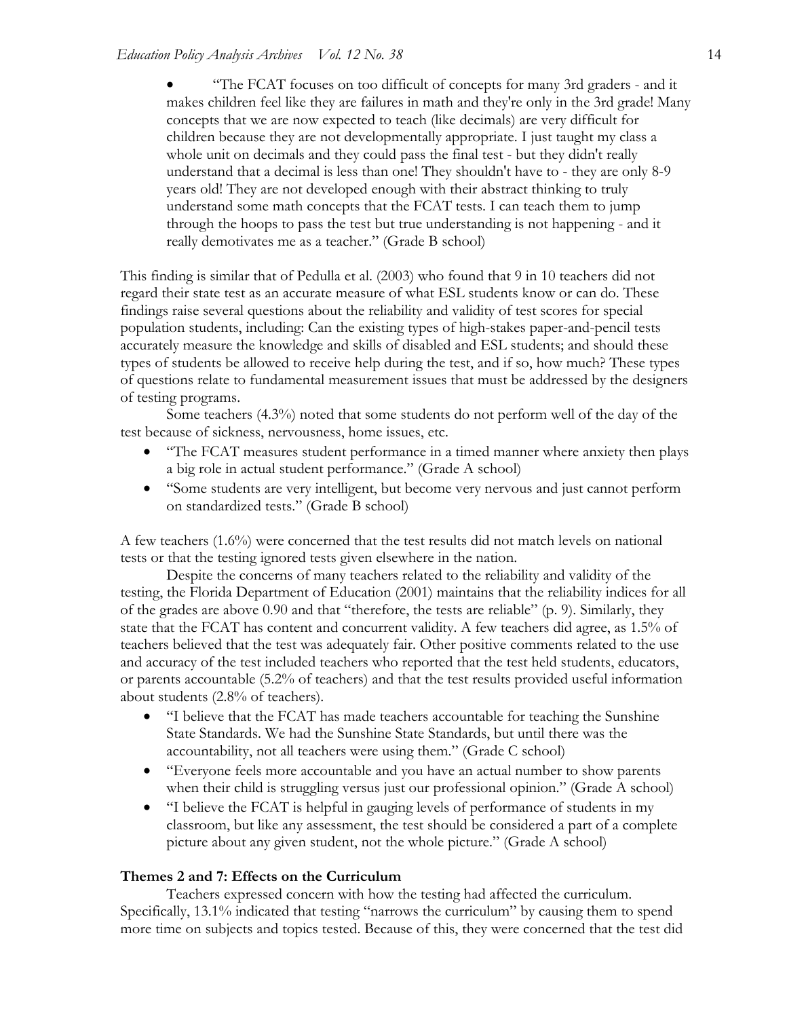• "The FCAT focuses on too difficult of concepts for many 3rd graders - and it makes children feel like they are failures in math and they're only in the 3rd grade! Many concepts that we are now expected to teach (like decimals) are very difficult for children because they are not developmentally appropriate. I just taught my class a whole unit on decimals and they could pass the final test - but they didn't really understand that a decimal is less than one! They shouldn't have to - they are only 8-9 years old! They are not developed enough with their abstract thinking to truly understand some math concepts that the FCAT tests. I can teach them to jump through the hoops to pass the test but true understanding is not happening - and it really demotivates me as a teacher." (Grade B school)

This finding is similar that of Pedulla et al. (2003) who found that 9 in 10 teachers did not regard their state test as an accurate measure of what ESL students know or can do. These findings raise several questions about the reliability and validity of test scores for special population students, including: Can the existing types of high-stakes paper-and-pencil tests accurately measure the knowledge and skills of disabled and ESL students; and should these types of students be allowed to receive help during the test, and if so, how much? These types of questions relate to fundamental measurement issues that must be addressed by the designers of testing programs.

Some teachers (4.3%) noted that some students do not perform well of the day of the test because of sickness, nervousness, home issues, etc.

- "The FCAT measures student performance in a timed manner where anxiety then plays a big role in actual student performance." (Grade A school)
- "Some students are very intelligent, but become very nervous and just cannot perform on standardized tests." (Grade B school)

A few teachers (1.6%) were concerned that the test results did not match levels on national tests or that the testing ignored tests given elsewhere in the nation.

Despite the concerns of many teachers related to the reliability and validity of the testing, the Florida Department of Education (2001) maintains that the reliability indices for all of the grades are above 0.90 and that "therefore, the tests are reliable" (p. 9). Similarly, they state that the FCAT has content and concurrent validity. A few teachers did agree, as 1.5% of teachers believed that the test was adequately fair. Other positive comments related to the use and accuracy of the test included teachers who reported that the test held students, educators, or parents accountable (5.2% of teachers) and that the test results provided useful information about students (2.8% of teachers).

- "I believe that the FCAT has made teachers accountable for teaching the Sunshine State Standards. We had the Sunshine State Standards, but until there was the accountability, not all teachers were using them." (Grade C school)
- "Everyone feels more accountable and you have an actual number to show parents when their child is struggling versus just our professional opinion." (Grade A school)
- "I believe the FCAT is helpful in gauging levels of performance of students in my classroom, but like any assessment, the test should be considered a part of a complete picture about any given student, not the whole picture." (Grade A school)

## **Themes 2 and 7: Effects on the Curriculum**

Teachers expressed concern with how the testing had affected the curriculum. Specifically, 13.1% indicated that testing "narrows the curriculum" by causing them to spend more time on subjects and topics tested. Because of this, they were concerned that the test did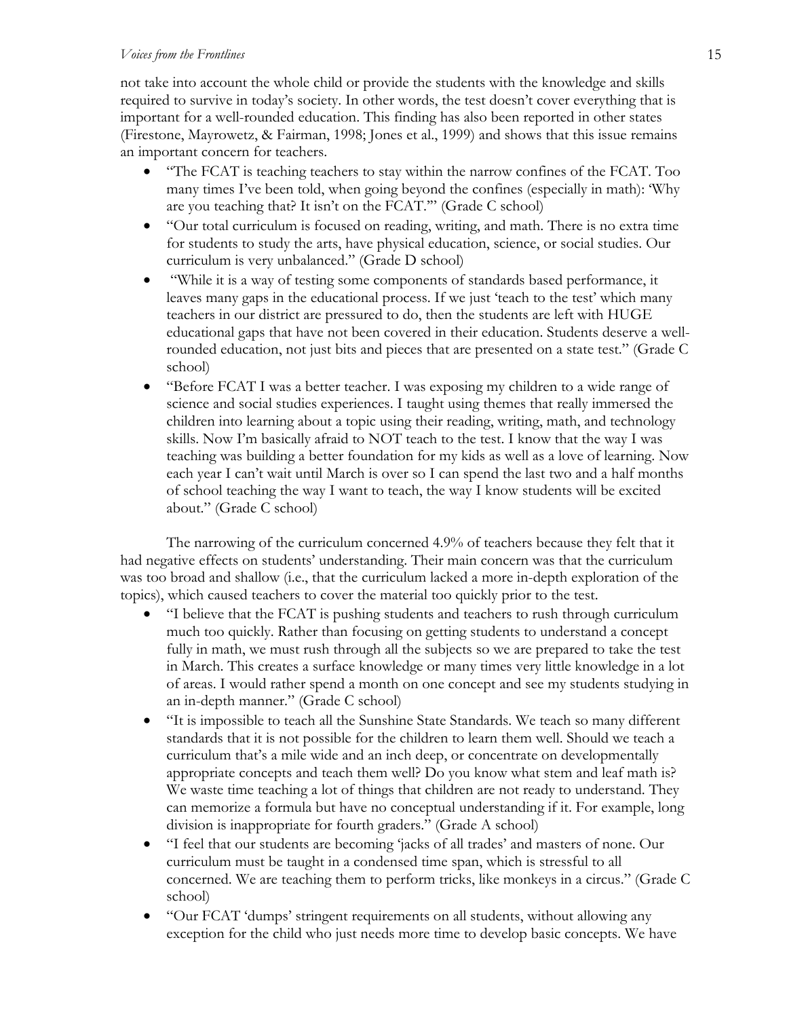#### *Voices from the Frontlines* 15

not take into account the whole child or provide the students with the knowledge and skills required to survive in today's society. In other words, the test doesn't cover everything that is important for a well-rounded education. This finding has also been reported in other states (Firestone, Mayrowetz, & Fairman, 1998; Jones et al., 1999) and shows that this issue remains an important concern for teachers.

- "The FCAT is teaching teachers to stay within the narrow confines of the FCAT. Too many times I've been told, when going beyond the confines (especially in math): 'Why are you teaching that? It isn't on the FCAT.'" (Grade C school)
- "Our total curriculum is focused on reading, writing, and math. There is no extra time for students to study the arts, have physical education, science, or social studies. Our curriculum is very unbalanced." (Grade D school)
- "While it is a way of testing some components of standards based performance, it leaves many gaps in the educational process. If we just 'teach to the test' which many teachers in our district are pressured to do, then the students are left with HUGE educational gaps that have not been covered in their education. Students deserve a wellrounded education, not just bits and pieces that are presented on a state test." (Grade C school)
- "Before FCAT I was a better teacher. I was exposing my children to a wide range of science and social studies experiences. I taught using themes that really immersed the children into learning about a topic using their reading, writing, math, and technology skills. Now I'm basically afraid to NOT teach to the test. I know that the way I was teaching was building a better foundation for my kids as well as a love of learning. Now each year I can't wait until March is over so I can spend the last two and a half months of school teaching the way I want to teach, the way I know students will be excited about." (Grade C school)

The narrowing of the curriculum concerned 4.9% of teachers because they felt that it had negative effects on students' understanding. Their main concern was that the curriculum was too broad and shallow (i.e., that the curriculum lacked a more in-depth exploration of the topics), which caused teachers to cover the material too quickly prior to the test.

- "I believe that the FCAT is pushing students and teachers to rush through curriculum much too quickly. Rather than focusing on getting students to understand a concept fully in math, we must rush through all the subjects so we are prepared to take the test in March. This creates a surface knowledge or many times very little knowledge in a lot of areas. I would rather spend a month on one concept and see my students studying in an in-depth manner." (Grade C school)
- "It is impossible to teach all the Sunshine State Standards. We teach so many different standards that it is not possible for the children to learn them well. Should we teach a curriculum that's a mile wide and an inch deep, or concentrate on developmentally appropriate concepts and teach them well? Do you know what stem and leaf math is? We waste time teaching a lot of things that children are not ready to understand. They can memorize a formula but have no conceptual understanding if it. For example, long division is inappropriate for fourth graders." (Grade A school)
- "I feel that our students are becoming 'jacks of all trades' and masters of none. Our curriculum must be taught in a condensed time span, which is stressful to all concerned. We are teaching them to perform tricks, like monkeys in a circus." (Grade C school)
- "Our FCAT 'dumps' stringent requirements on all students, without allowing any exception for the child who just needs more time to develop basic concepts. We have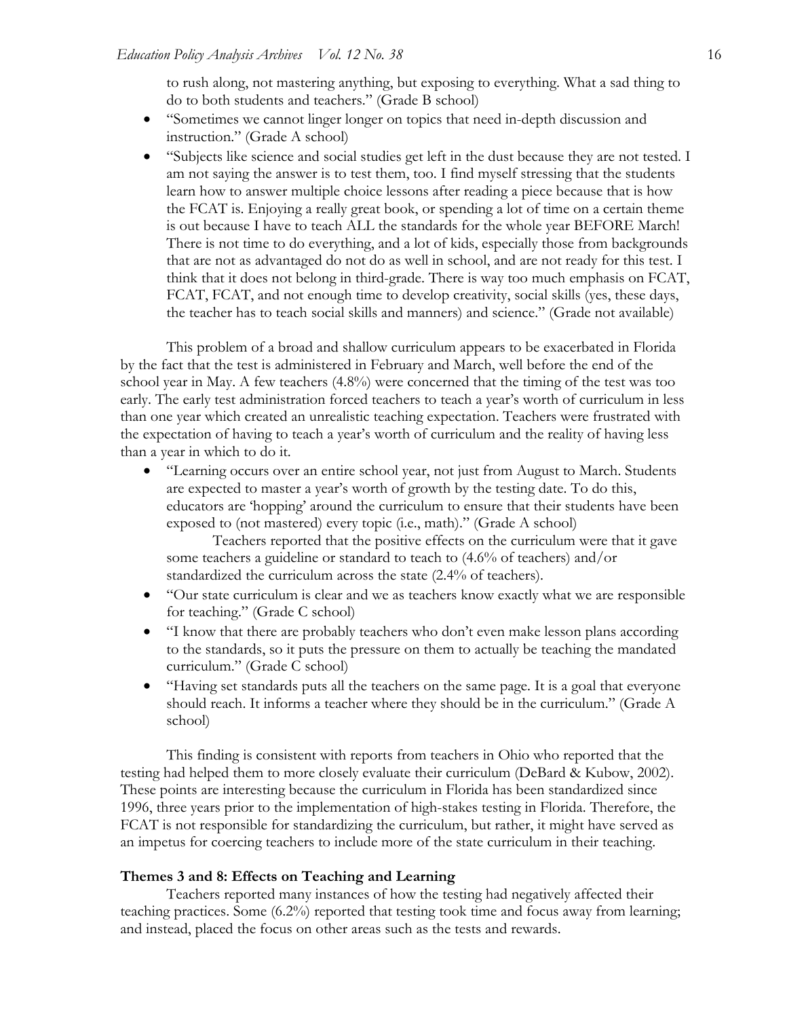to rush along, not mastering anything, but exposing to everything. What a sad thing to do to both students and teachers." (Grade B school)

- "Sometimes we cannot linger longer on topics that need in-depth discussion and instruction." (Grade A school)
- "Subjects like science and social studies get left in the dust because they are not tested. I am not saying the answer is to test them, too. I find myself stressing that the students learn how to answer multiple choice lessons after reading a piece because that is how the FCAT is. Enjoying a really great book, or spending a lot of time on a certain theme is out because I have to teach ALL the standards for the whole year BEFORE March! There is not time to do everything, and a lot of kids, especially those from backgrounds that are not as advantaged do not do as well in school, and are not ready for this test. I think that it does not belong in third-grade. There is way too much emphasis on FCAT, FCAT, FCAT, and not enough time to develop creativity, social skills (yes, these days, the teacher has to teach social skills and manners) and science." (Grade not available)

This problem of a broad and shallow curriculum appears to be exacerbated in Florida by the fact that the test is administered in February and March, well before the end of the school year in May. A few teachers (4.8%) were concerned that the timing of the test was too early. The early test administration forced teachers to teach a year's worth of curriculum in less than one year which created an unrealistic teaching expectation. Teachers were frustrated with the expectation of having to teach a year's worth of curriculum and the reality of having less than a year in which to do it.

• "Learning occurs over an entire school year, not just from August to March. Students are expected to master a year's worth of growth by the testing date. To do this, educators are 'hopping' around the curriculum to ensure that their students have been exposed to (not mastered) every topic (i.e., math)." (Grade A school)

 Teachers reported that the positive effects on the curriculum were that it gave some teachers a guideline or standard to teach to (4.6% of teachers) and/or standardized the curriculum across the state (2.4% of teachers).

- "Our state curriculum is clear and we as teachers know exactly what we are responsible for teaching." (Grade C school)
- "I know that there are probably teachers who don't even make lesson plans according to the standards, so it puts the pressure on them to actually be teaching the mandated curriculum." (Grade C school)
- "Having set standards puts all the teachers on the same page. It is a goal that everyone should reach. It informs a teacher where they should be in the curriculum." (Grade A school)

This finding is consistent with reports from teachers in Ohio who reported that the testing had helped them to more closely evaluate their curriculum (DeBard & Kubow, 2002). These points are interesting because the curriculum in Florida has been standardized since 1996, three years prior to the implementation of high-stakes testing in Florida. Therefore, the FCAT is not responsible for standardizing the curriculum, but rather, it might have served as an impetus for coercing teachers to include more of the state curriculum in their teaching.

## **Themes 3 and 8: Effects on Teaching and Learning**

Teachers reported many instances of how the testing had negatively affected their teaching practices. Some (6.2%) reported that testing took time and focus away from learning; and instead, placed the focus on other areas such as the tests and rewards.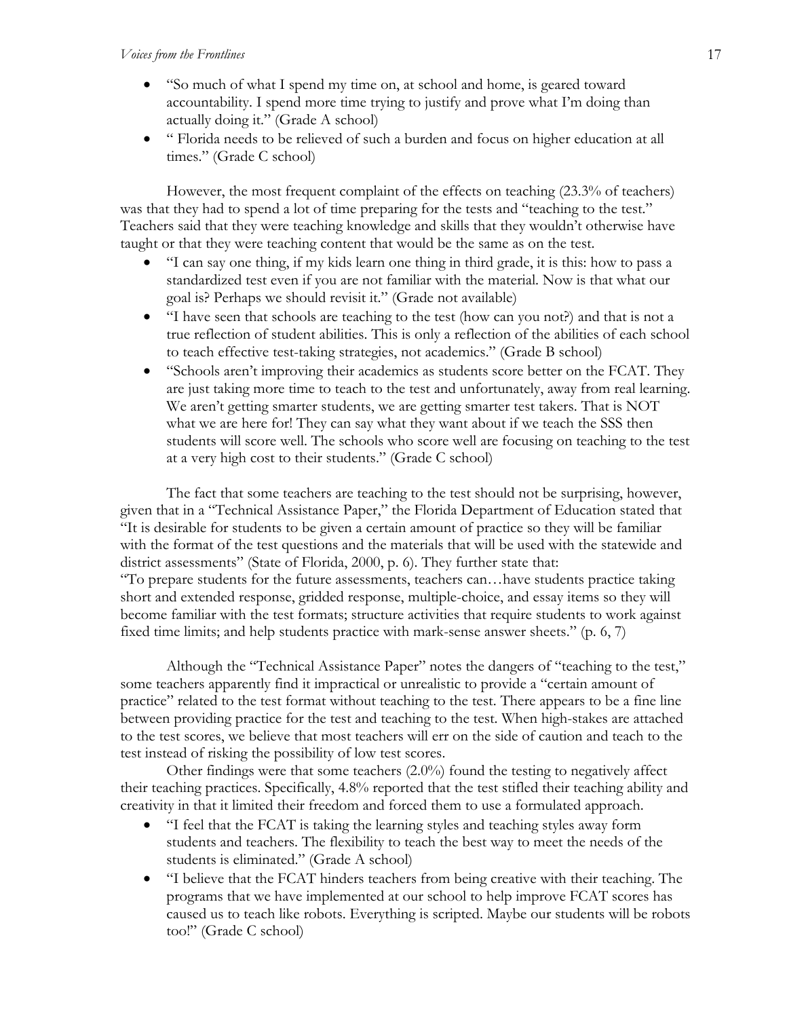- "So much of what I spend my time on, at school and home, is geared toward accountability. I spend more time trying to justify and prove what I'm doing than actually doing it." (Grade A school)
- " Florida needs to be relieved of such a burden and focus on higher education at all times." (Grade C school)

However, the most frequent complaint of the effects on teaching (23.3% of teachers) was that they had to spend a lot of time preparing for the tests and "teaching to the test." Teachers said that they were teaching knowledge and skills that they wouldn't otherwise have taught or that they were teaching content that would be the same as on the test.

- "I can say one thing, if my kids learn one thing in third grade, it is this: how to pass a standardized test even if you are not familiar with the material. Now is that what our goal is? Perhaps we should revisit it." (Grade not available)
- "I have seen that schools are teaching to the test (how can you not?) and that is not a true reflection of student abilities. This is only a reflection of the abilities of each school to teach effective test-taking strategies, not academics." (Grade B school)
- "Schools aren't improving their academics as students score better on the FCAT. They are just taking more time to teach to the test and unfortunately, away from real learning. We aren't getting smarter students, we are getting smarter test takers. That is NOT what we are here for! They can say what they want about if we teach the SSS then students will score well. The schools who score well are focusing on teaching to the test at a very high cost to their students." (Grade C school)

The fact that some teachers are teaching to the test should not be surprising, however, given that in a "Technical Assistance Paper," the Florida Department of Education stated that "It is desirable for students to be given a certain amount of practice so they will be familiar with the format of the test questions and the materials that will be used with the statewide and district assessments" (State of Florida, 2000, p. 6). They further state that: "To prepare students for the future assessments, teachers can…have students practice taking short and extended response, gridded response, multiple-choice, and essay items so they will become familiar with the test formats; structure activities that require students to work against fixed time limits; and help students practice with mark-sense answer sheets." (p. 6, 7)

Although the "Technical Assistance Paper" notes the dangers of "teaching to the test," some teachers apparently find it impractical or unrealistic to provide a "certain amount of practice" related to the test format without teaching to the test. There appears to be a fine line between providing practice for the test and teaching to the test. When high-stakes are attached to the test scores, we believe that most teachers will err on the side of caution and teach to the test instead of risking the possibility of low test scores.

Other findings were that some teachers (2.0%) found the testing to negatively affect their teaching practices. Specifically, 4.8% reported that the test stifled their teaching ability and creativity in that it limited their freedom and forced them to use a formulated approach.

- "I feel that the FCAT is taking the learning styles and teaching styles away form students and teachers. The flexibility to teach the best way to meet the needs of the students is eliminated." (Grade A school)
- "I believe that the FCAT hinders teachers from being creative with their teaching. The programs that we have implemented at our school to help improve FCAT scores has caused us to teach like robots. Everything is scripted. Maybe our students will be robots too!" (Grade C school)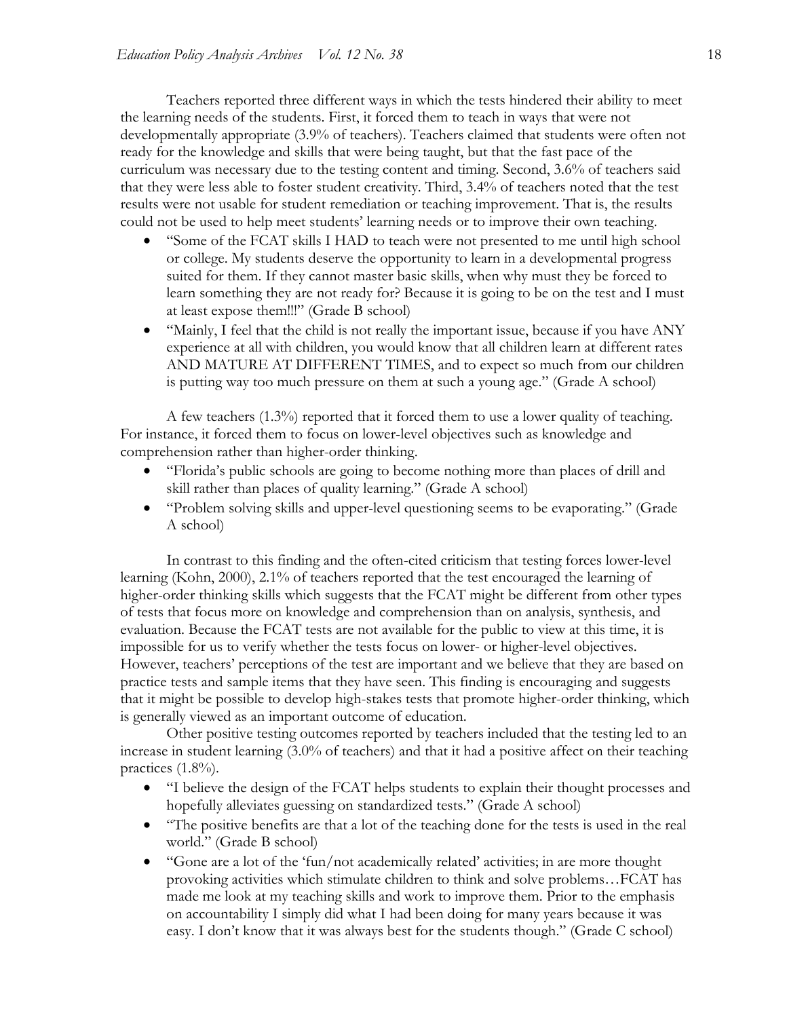Teachers reported three different ways in which the tests hindered their ability to meet the learning needs of the students. First, it forced them to teach in ways that were not developmentally appropriate (3.9% of teachers). Teachers claimed that students were often not ready for the knowledge and skills that were being taught, but that the fast pace of the curriculum was necessary due to the testing content and timing. Second, 3.6% of teachers said that they were less able to foster student creativity. Third, 3.4% of teachers noted that the test results were not usable for student remediation or teaching improvement. That is, the results could not be used to help meet students' learning needs or to improve their own teaching.

- "Some of the FCAT skills I HAD to teach were not presented to me until high school or college. My students deserve the opportunity to learn in a developmental progress suited for them. If they cannot master basic skills, when why must they be forced to learn something they are not ready for? Because it is going to be on the test and I must at least expose them!!!" (Grade B school)
- "Mainly, I feel that the child is not really the important issue, because if you have ANY experience at all with children, you would know that all children learn at different rates AND MATURE AT DIFFERENT TIMES, and to expect so much from our children is putting way too much pressure on them at such a young age." (Grade A school)

 A few teachers (1.3%) reported that it forced them to use a lower quality of teaching. For instance, it forced them to focus on lower-level objectives such as knowledge and comprehension rather than higher-order thinking.

- "Florida's public schools are going to become nothing more than places of drill and skill rather than places of quality learning." (Grade A school)
- "Problem solving skills and upper-level questioning seems to be evaporating." (Grade A school)

In contrast to this finding and the often-cited criticism that testing forces lower-level learning (Kohn, 2000), 2.1% of teachers reported that the test encouraged the learning of higher-order thinking skills which suggests that the FCAT might be different from other types of tests that focus more on knowledge and comprehension than on analysis, synthesis, and evaluation. Because the FCAT tests are not available for the public to view at this time, it is impossible for us to verify whether the tests focus on lower- or higher-level objectives. However, teachers' perceptions of the test are important and we believe that they are based on practice tests and sample items that they have seen. This finding is encouraging and suggests that it might be possible to develop high-stakes tests that promote higher-order thinking, which is generally viewed as an important outcome of education.

Other positive testing outcomes reported by teachers included that the testing led to an increase in student learning (3.0% of teachers) and that it had a positive affect on their teaching practices  $(1.8\%)$ .

- "I believe the design of the FCAT helps students to explain their thought processes and hopefully alleviates guessing on standardized tests." (Grade A school)
- "The positive benefits are that a lot of the teaching done for the tests is used in the real world." (Grade B school)
- "Gone are a lot of the 'fun/not academically related' activities; in are more thought provoking activities which stimulate children to think and solve problems…FCAT has made me look at my teaching skills and work to improve them. Prior to the emphasis on accountability I simply did what I had been doing for many years because it was easy. I don't know that it was always best for the students though." (Grade C school)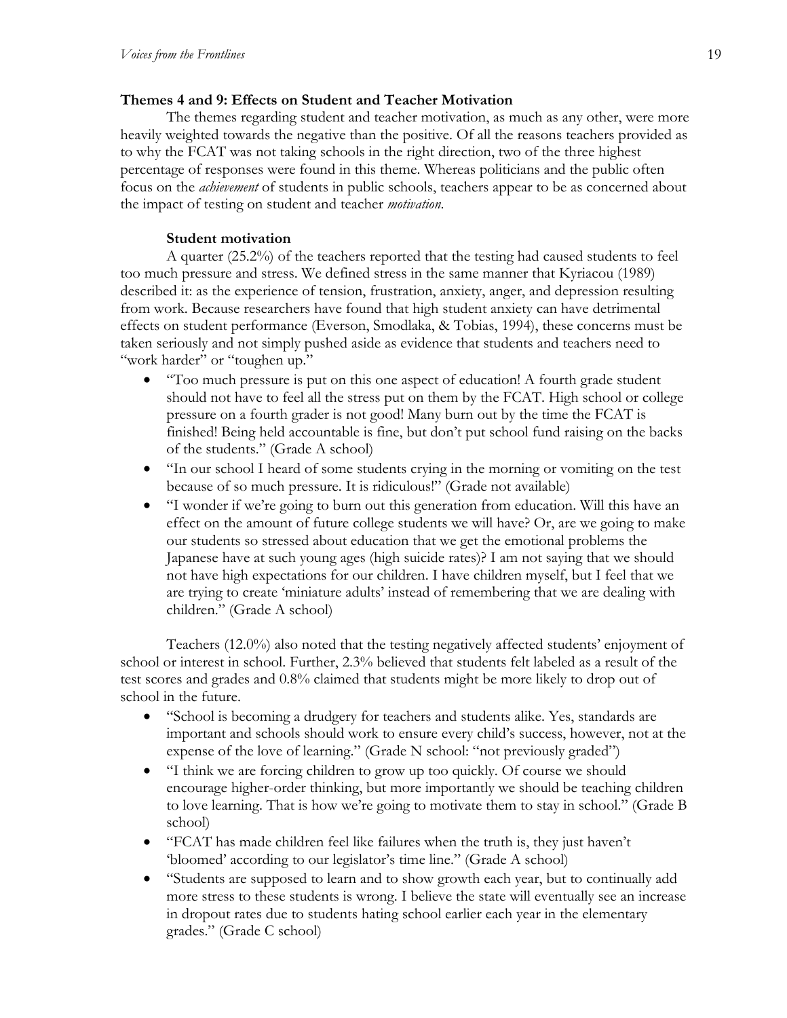# **Themes 4 and 9: Effects on Student and Teacher Motivation**

The themes regarding student and teacher motivation, as much as any other, were more heavily weighted towards the negative than the positive. Of all the reasons teachers provided as to why the FCAT was not taking schools in the right direction, two of the three highest percentage of responses were found in this theme. Whereas politicians and the public often focus on the *achievement* of students in public schools, teachers appear to be as concerned about the impact of testing on student and teacher *motivation*.

# **Student motivation**

A quarter (25.2%) of the teachers reported that the testing had caused students to feel too much pressure and stress. We defined stress in the same manner that Kyriacou (1989) described it: as the experience of tension, frustration, anxiety, anger, and depression resulting from work. Because researchers have found that high student anxiety can have detrimental effects on student performance (Everson, Smodlaka, & Tobias, 1994), these concerns must be taken seriously and not simply pushed aside as evidence that students and teachers need to "work harder" or "toughen up."

- "Too much pressure is put on this one aspect of education! A fourth grade student should not have to feel all the stress put on them by the FCAT. High school or college pressure on a fourth grader is not good! Many burn out by the time the FCAT is finished! Being held accountable is fine, but don't put school fund raising on the backs of the students." (Grade A school)
- "In our school I heard of some students crying in the morning or vomiting on the test because of so much pressure. It is ridiculous!" (Grade not available)
- "I wonder if we're going to burn out this generation from education. Will this have an effect on the amount of future college students we will have? Or, are we going to make our students so stressed about education that we get the emotional problems the Japanese have at such young ages (high suicide rates)? I am not saying that we should not have high expectations for our children. I have children myself, but I feel that we are trying to create 'miniature adults' instead of remembering that we are dealing with children." (Grade A school)

Teachers (12.0%) also noted that the testing negatively affected students' enjoyment of school or interest in school. Further, 2.3% believed that students felt labeled as a result of the test scores and grades and 0.8% claimed that students might be more likely to drop out of school in the future.

- "School is becoming a drudgery for teachers and students alike. Yes, standards are important and schools should work to ensure every child's success, however, not at the expense of the love of learning." (Grade N school: "not previously graded")
- "I think we are forcing children to grow up too quickly. Of course we should encourage higher-order thinking, but more importantly we should be teaching children to love learning. That is how we're going to motivate them to stay in school." (Grade B school)
- "FCAT has made children feel like failures when the truth is, they just haven't 'bloomed' according to our legislator's time line." (Grade A school)
- "Students are supposed to learn and to show growth each year, but to continually add more stress to these students is wrong. I believe the state will eventually see an increase in dropout rates due to students hating school earlier each year in the elementary grades." (Grade C school)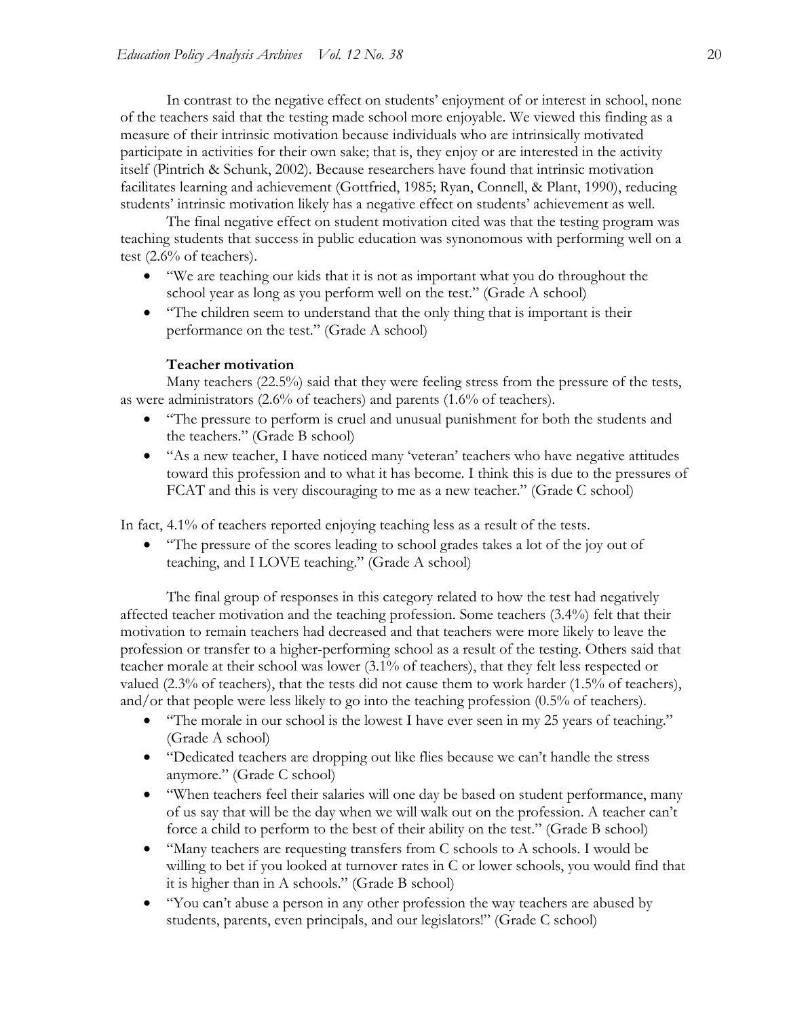In contrast to the negative effect on students' enjoyment of or interest in school, none of the teachers said that the testing made school more enjoyable. We viewed this finding as a measure of their intrinsic motivation because individuals who are intrinsically motivated participate in activities for their own sake; that is, they enjoy or are interested in the activity itself (Pintrich & Schunk, 2002). Because researchers have found that intrinsic motivation facilitates learning and achievement (Gottfried, 1985; Ryan, Connell, & Plant, 1990), reducing students' intrinsic motivation likely has a negative effect on students' achievement as well.

The final negative effect on student motivation cited was that the testing program was teaching students that success in public education was synonomous with performing well on a test (2.6% of teachers).

- "We are teaching our kids that it is not as important what you do throughout the school year as long as you perform well on the test." (Grade A school)
- "The children seem to understand that the only thing that is important is their performance on the test." (Grade A school)

#### **Teacher motivation**

Many teachers (22.5%) said that they were feeling stress from the pressure of the tests, as were administrators (2.6% of teachers) and parents (1.6% of teachers).

- "The pressure to perform is cruel and unusual punishment for both the students and the teachers." (Grade B school)
- "As a new teacher, I have noticed many 'veteran' teachers who have negative attitudes toward this profession and to what it has become. I think this is due to the pressures of FCAT and this is very discouraging to me as a new teacher." (Grade C school)

In fact, 4.1% of teachers reported enjoying teaching less as a result of the tests.

• "The pressure of the scores leading to school grades takes a lot of the joy out of teaching, and I LOVE teaching." (Grade A school)

The final group of responses in this category related to how the test had negatively affected teacher motivation and the teaching profession. Some teachers (3.4%) felt that their motivation to remain teachers had decreased and that teachers were more likely to leave the profession or transfer to a higher-performing school as a result of the testing. Others said that teacher morale at their school was lower (3.1% of teachers), that they felt less respected or valued (2.3% of teachers), that the tests did not cause them to work harder (1.5% of teachers), and/or that people were less likely to go into the teaching profession (0.5% of teachers).

- "The morale in our school is the lowest I have ever seen in my 25 years of teaching." (Grade A school)
- "Dedicated teachers are dropping out like flies because we can't handle the stress anymore." (Grade C school)
- "When teachers feel their salaries will one day be based on student performance, many of us say that will be the day when we will walk out on the profession. A teacher can't force a child to perform to the best of their ability on the test." (Grade B school)
- "Many teachers are requesting transfers from C schools to A schools. I would be willing to bet if you looked at turnover rates in C or lower schools, you would find that it is higher than in A schools." (Grade B school)
- "You can't abuse a person in any other profession the way teachers are abused by students, parents, even principals, and our legislators!" (Grade C school)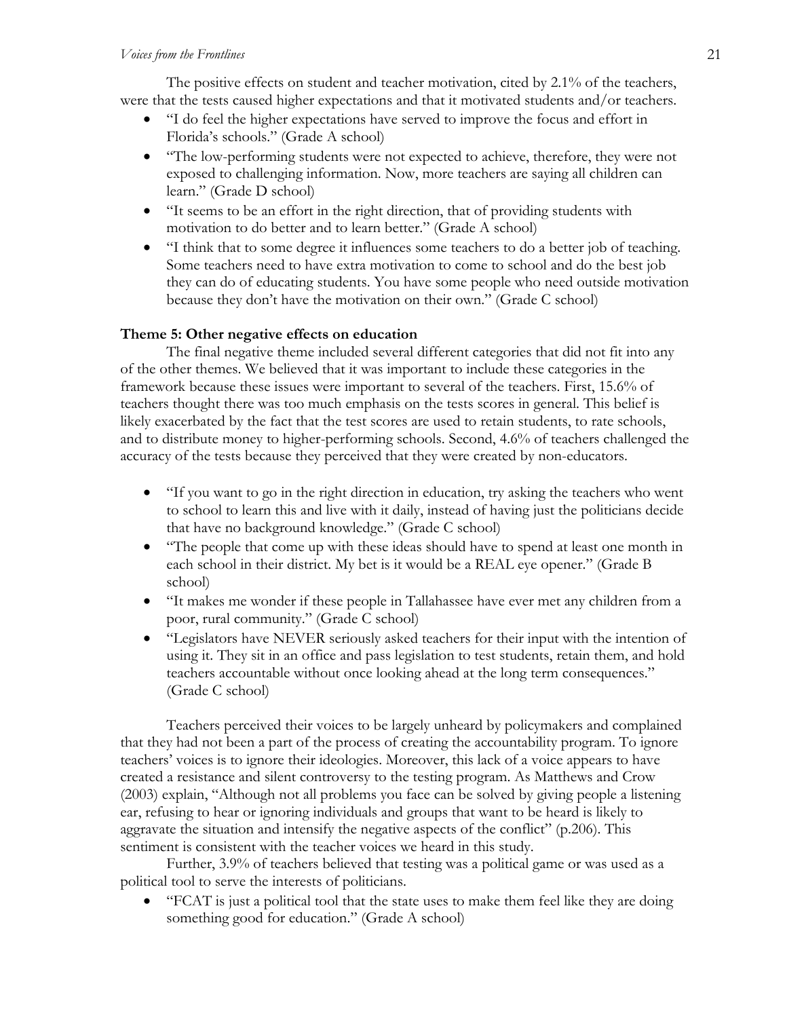The positive effects on student and teacher motivation, cited by 2.1% of the teachers, were that the tests caused higher expectations and that it motivated students and/or teachers.

- "I do feel the higher expectations have served to improve the focus and effort in Florida's schools." (Grade A school)
- "The low-performing students were not expected to achieve, therefore, they were not exposed to challenging information. Now, more teachers are saying all children can learn." (Grade D school)
- "It seems to be an effort in the right direction, that of providing students with motivation to do better and to learn better." (Grade A school)
- "I think that to some degree it influences some teachers to do a better job of teaching. Some teachers need to have extra motivation to come to school and do the best job they can do of educating students. You have some people who need outside motivation because they don't have the motivation on their own." (Grade C school)

# **Theme 5: Other negative effects on education**

The final negative theme included several different categories that did not fit into any of the other themes. We believed that it was important to include these categories in the framework because these issues were important to several of the teachers. First, 15.6% of teachers thought there was too much emphasis on the tests scores in general. This belief is likely exacerbated by the fact that the test scores are used to retain students, to rate schools, and to distribute money to higher-performing schools. Second, 4.6% of teachers challenged the accuracy of the tests because they perceived that they were created by non-educators.

- "If you want to go in the right direction in education, try asking the teachers who went to school to learn this and live with it daily, instead of having just the politicians decide that have no background knowledge." (Grade C school)
- "The people that come up with these ideas should have to spend at least one month in each school in their district. My bet is it would be a REAL eye opener." (Grade B school)
- "It makes me wonder if these people in Tallahassee have ever met any children from a poor, rural community." (Grade C school)
- "Legislators have NEVER seriously asked teachers for their input with the intention of using it. They sit in an office and pass legislation to test students, retain them, and hold teachers accountable without once looking ahead at the long term consequences." (Grade C school)

Teachers perceived their voices to be largely unheard by policymakers and complained that they had not been a part of the process of creating the accountability program. To ignore teachers' voices is to ignore their ideologies. Moreover, this lack of a voice appears to have created a resistance and silent controversy to the testing program. As Matthews and Crow (2003) explain, "Although not all problems you face can be solved by giving people a listening ear, refusing to hear or ignoring individuals and groups that want to be heard is likely to aggravate the situation and intensify the negative aspects of the conflict" (p.206). This sentiment is consistent with the teacher voices we heard in this study.

Further, 3.9% of teachers believed that testing was a political game or was used as a political tool to serve the interests of politicians.

• "FCAT is just a political tool that the state uses to make them feel like they are doing something good for education." (Grade A school)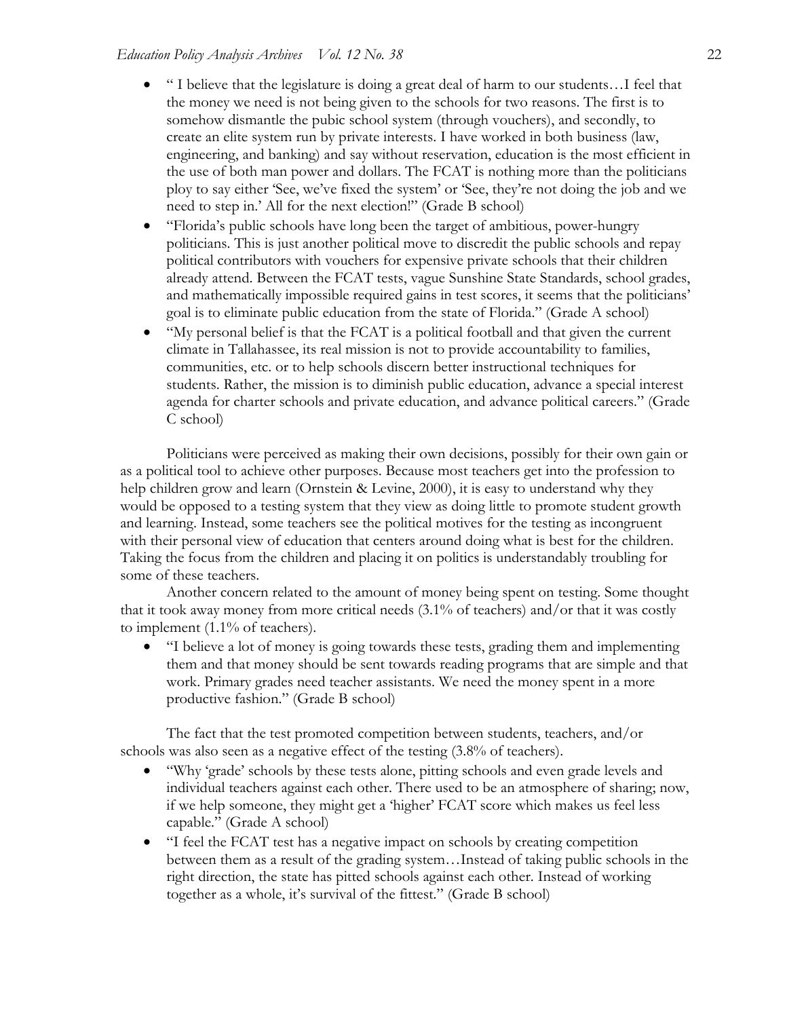- " I believe that the legislature is doing a great deal of harm to our students…I feel that the money we need is not being given to the schools for two reasons. The first is to somehow dismantle the pubic school system (through vouchers), and secondly, to create an elite system run by private interests. I have worked in both business (law, engineering, and banking) and say without reservation, education is the most efficient in the use of both man power and dollars. The FCAT is nothing more than the politicians ploy to say either 'See, we've fixed the system' or 'See, they're not doing the job and we need to step in.' All for the next election!" (Grade B school)
- "Florida's public schools have long been the target of ambitious, power-hungry politicians. This is just another political move to discredit the public schools and repay political contributors with vouchers for expensive private schools that their children already attend. Between the FCAT tests, vague Sunshine State Standards, school grades, and mathematically impossible required gains in test scores, it seems that the politicians' goal is to eliminate public education from the state of Florida." (Grade A school)
- "My personal belief is that the FCAT is a political football and that given the current climate in Tallahassee, its real mission is not to provide accountability to families, communities, etc. or to help schools discern better instructional techniques for students. Rather, the mission is to diminish public education, advance a special interest agenda for charter schools and private education, and advance political careers." (Grade C school)

Politicians were perceived as making their own decisions, possibly for their own gain or as a political tool to achieve other purposes. Because most teachers get into the profession to help children grow and learn (Ornstein & Levine, 2000), it is easy to understand why they would be opposed to a testing system that they view as doing little to promote student growth and learning. Instead, some teachers see the political motives for the testing as incongruent with their personal view of education that centers around doing what is best for the children. Taking the focus from the children and placing it on politics is understandably troubling for some of these teachers.

Another concern related to the amount of money being spent on testing. Some thought that it took away money from more critical needs (3.1% of teachers) and/or that it was costly to implement (1.1% of teachers).

• "I believe a lot of money is going towards these tests, grading them and implementing them and that money should be sent towards reading programs that are simple and that work. Primary grades need teacher assistants. We need the money spent in a more productive fashion." (Grade B school)

The fact that the test promoted competition between students, teachers, and/or schools was also seen as a negative effect of the testing (3.8% of teachers).

- "Why 'grade' schools by these tests alone, pitting schools and even grade levels and individual teachers against each other. There used to be an atmosphere of sharing; now, if we help someone, they might get a 'higher' FCAT score which makes us feel less capable." (Grade A school)
- "I feel the FCAT test has a negative impact on schools by creating competition between them as a result of the grading system…Instead of taking public schools in the right direction, the state has pitted schools against each other. Instead of working together as a whole, it's survival of the fittest." (Grade B school)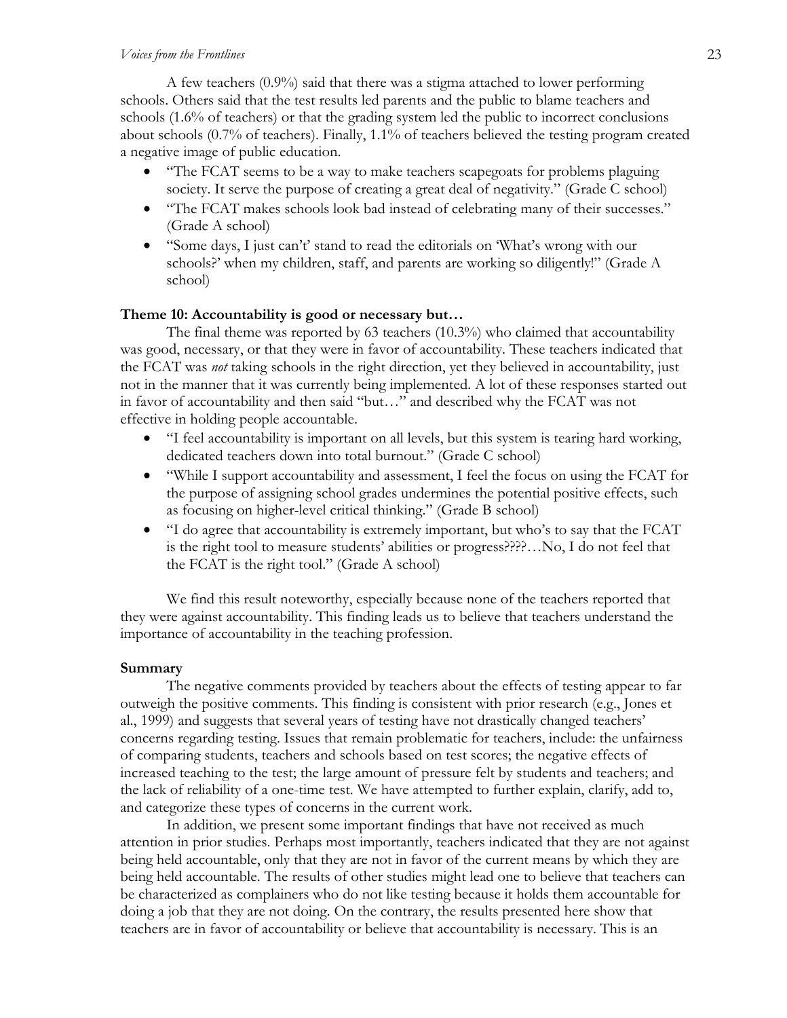#### *Voices from the Frontlines* 23

A few teachers (0.9%) said that there was a stigma attached to lower performing schools. Others said that the test results led parents and the public to blame teachers and schools (1.6% of teachers) or that the grading system led the public to incorrect conclusions about schools (0.7% of teachers). Finally, 1.1% of teachers believed the testing program created a negative image of public education.

- "The FCAT seems to be a way to make teachers scapegoats for problems plaguing society. It serve the purpose of creating a great deal of negativity." (Grade C school)
- "The FCAT makes schools look bad instead of celebrating many of their successes." (Grade A school)
- "Some days, I just can't' stand to read the editorials on 'What's wrong with our schools?' when my children, staff, and parents are working so diligently!" (Grade A school)

## **Theme 10: Accountability is good or necessary but…**

 The final theme was reported by 63 teachers (10.3%) who claimed that accountability was good, necessary, or that they were in favor of accountability. These teachers indicated that the FCAT was *not* taking schools in the right direction, yet they believed in accountability, just not in the manner that it was currently being implemented. A lot of these responses started out in favor of accountability and then said "but…" and described why the FCAT was not effective in holding people accountable.

- "I feel accountability is important on all levels, but this system is tearing hard working, dedicated teachers down into total burnout." (Grade C school)
- "While I support accountability and assessment, I feel the focus on using the FCAT for the purpose of assigning school grades undermines the potential positive effects, such as focusing on higher-level critical thinking." (Grade B school)
- "I do agree that accountability is extremely important, but who's to say that the FCAT is the right tool to measure students' abilities or progress????…No, I do not feel that the FCAT is the right tool." (Grade A school)

We find this result noteworthy, especially because none of the teachers reported that they were against accountability. This finding leads us to believe that teachers understand the importance of accountability in the teaching profession.

## **Summary**

The negative comments provided by teachers about the effects of testing appear to far outweigh the positive comments. This finding is consistent with prior research (e.g., Jones et al., 1999) and suggests that several years of testing have not drastically changed teachers' concerns regarding testing. Issues that remain problematic for teachers, include: the unfairness of comparing students, teachers and schools based on test scores; the negative effects of increased teaching to the test; the large amount of pressure felt by students and teachers; and the lack of reliability of a one-time test. We have attempted to further explain, clarify, add to, and categorize these types of concerns in the current work.

 In addition, we present some important findings that have not received as much attention in prior studies. Perhaps most importantly, teachers indicated that they are not against being held accountable, only that they are not in favor of the current means by which they are being held accountable. The results of other studies might lead one to believe that teachers can be characterized as complainers who do not like testing because it holds them accountable for doing a job that they are not doing. On the contrary, the results presented here show that teachers are in favor of accountability or believe that accountability is necessary. This is an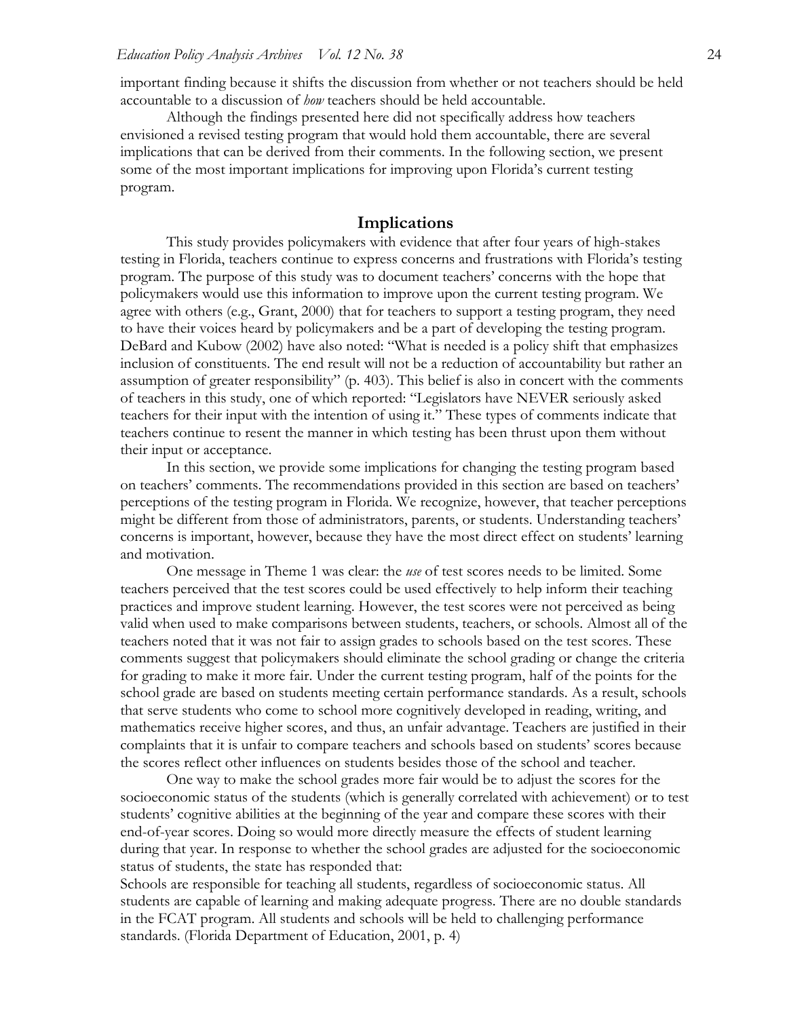important finding because it shifts the discussion from whether or not teachers should be held accountable to a discussion of *how* teachers should be held accountable.

Although the findings presented here did not specifically address how teachers envisioned a revised testing program that would hold them accountable, there are several implications that can be derived from their comments. In the following section, we present some of the most important implications for improving upon Florida's current testing program.

#### **Implications**

This study provides policymakers with evidence that after four years of high-stakes testing in Florida, teachers continue to express concerns and frustrations with Florida's testing program. The purpose of this study was to document teachers' concerns with the hope that policymakers would use this information to improve upon the current testing program. We agree with others (e.g., Grant, 2000) that for teachers to support a testing program, they need to have their voices heard by policymakers and be a part of developing the testing program. DeBard and Kubow (2002) have also noted: "What is needed is a policy shift that emphasizes inclusion of constituents. The end result will not be a reduction of accountability but rather an assumption of greater responsibility" (p. 403). This belief is also in concert with the comments of teachers in this study, one of which reported: "Legislators have NEVER seriously asked teachers for their input with the intention of using it." These types of comments indicate that teachers continue to resent the manner in which testing has been thrust upon them without their input or acceptance.

In this section, we provide some implications for changing the testing program based on teachers' comments. The recommendations provided in this section are based on teachers' perceptions of the testing program in Florida. We recognize, however, that teacher perceptions might be different from those of administrators, parents, or students. Understanding teachers' concerns is important, however, because they have the most direct effect on students' learning and motivation.

One message in Theme 1 was clear: the *use* of test scores needs to be limited. Some teachers perceived that the test scores could be used effectively to help inform their teaching practices and improve student learning. However, the test scores were not perceived as being valid when used to make comparisons between students, teachers, or schools. Almost all of the teachers noted that it was not fair to assign grades to schools based on the test scores. These comments suggest that policymakers should eliminate the school grading or change the criteria for grading to make it more fair. Under the current testing program, half of the points for the school grade are based on students meeting certain performance standards. As a result, schools that serve students who come to school more cognitively developed in reading, writing, and mathematics receive higher scores, and thus, an unfair advantage. Teachers are justified in their complaints that it is unfair to compare teachers and schools based on students' scores because the scores reflect other influences on students besides those of the school and teacher.

One way to make the school grades more fair would be to adjust the scores for the socioeconomic status of the students (which is generally correlated with achievement) or to test students' cognitive abilities at the beginning of the year and compare these scores with their end-of-year scores. Doing so would more directly measure the effects of student learning during that year. In response to whether the school grades are adjusted for the socioeconomic status of students, the state has responded that:

Schools are responsible for teaching all students, regardless of socioeconomic status. All students are capable of learning and making adequate progress. There are no double standards in the FCAT program. All students and schools will be held to challenging performance standards. (Florida Department of Education, 2001, p. 4)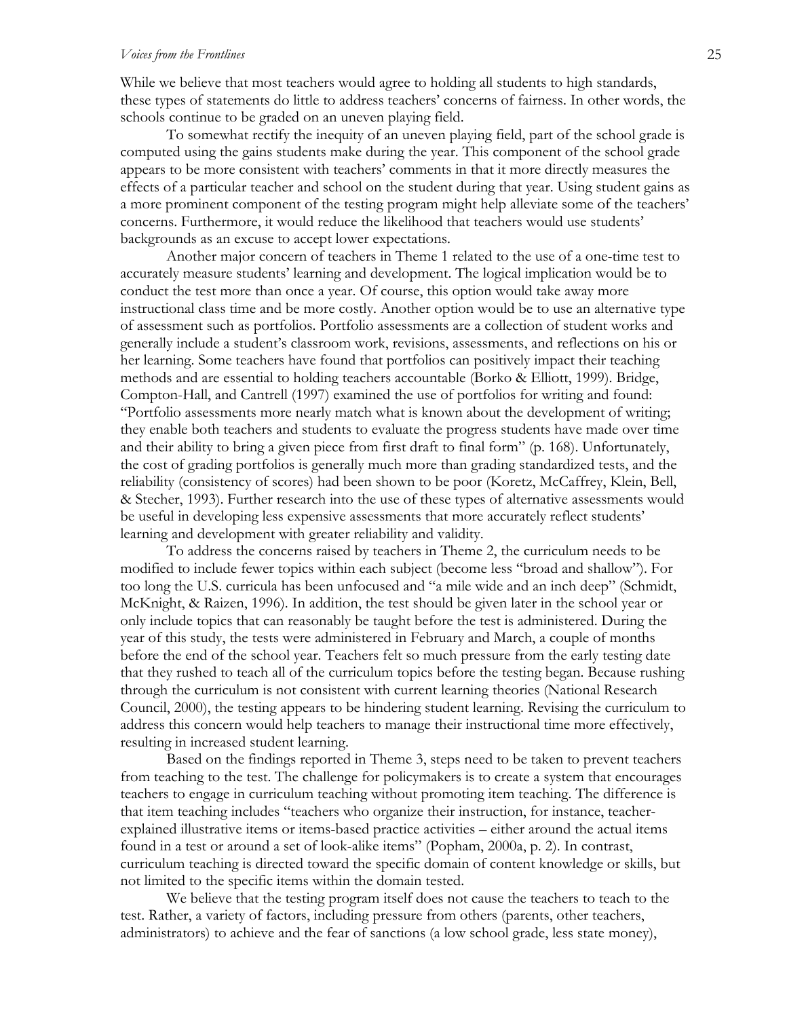#### *Voices from the Frontlines* 25

While we believe that most teachers would agree to holding all students to high standards, these types of statements do little to address teachers' concerns of fairness. In other words, the schools continue to be graded on an uneven playing field.

To somewhat rectify the inequity of an uneven playing field, part of the school grade is computed using the gains students make during the year. This component of the school grade appears to be more consistent with teachers' comments in that it more directly measures the effects of a particular teacher and school on the student during that year. Using student gains as a more prominent component of the testing program might help alleviate some of the teachers' concerns. Furthermore, it would reduce the likelihood that teachers would use students' backgrounds as an excuse to accept lower expectations.

Another major concern of teachers in Theme 1 related to the use of a one-time test to accurately measure students' learning and development. The logical implication would be to conduct the test more than once a year. Of course, this option would take away more instructional class time and be more costly. Another option would be to use an alternative type of assessment such as portfolios. Portfolio assessments are a collection of student works and generally include a student's classroom work, revisions, assessments, and reflections on his or her learning. Some teachers have found that portfolios can positively impact their teaching methods and are essential to holding teachers accountable (Borko & Elliott, 1999). Bridge, Compton-Hall, and Cantrell (1997) examined the use of portfolios for writing and found: "Portfolio assessments more nearly match what is known about the development of writing; they enable both teachers and students to evaluate the progress students have made over time and their ability to bring a given piece from first draft to final form" (p. 168). Unfortunately, the cost of grading portfolios is generally much more than grading standardized tests, and the reliability (consistency of scores) had been shown to be poor (Koretz, McCaffrey, Klein, Bell, & Stecher, 1993). Further research into the use of these types of alternative assessments would be useful in developing less expensive assessments that more accurately reflect students' learning and development with greater reliability and validity.

To address the concerns raised by teachers in Theme 2, the curriculum needs to be modified to include fewer topics within each subject (become less "broad and shallow"). For too long the U.S. curricula has been unfocused and "a mile wide and an inch deep" (Schmidt, McKnight, & Raizen, 1996). In addition, the test should be given later in the school year or only include topics that can reasonably be taught before the test is administered. During the year of this study, the tests were administered in February and March, a couple of months before the end of the school year. Teachers felt so much pressure from the early testing date that they rushed to teach all of the curriculum topics before the testing began. Because rushing through the curriculum is not consistent with current learning theories (National Research Council, 2000), the testing appears to be hindering student learning. Revising the curriculum to address this concern would help teachers to manage their instructional time more effectively, resulting in increased student learning.

Based on the findings reported in Theme 3, steps need to be taken to prevent teachers from teaching to the test. The challenge for policymakers is to create a system that encourages teachers to engage in curriculum teaching without promoting item teaching. The difference is that item teaching includes "teachers who organize their instruction, for instance, teacherexplained illustrative items or items-based practice activities – either around the actual items found in a test or around a set of look-alike items" (Popham, 2000a, p. 2). In contrast, curriculum teaching is directed toward the specific domain of content knowledge or skills, but not limited to the specific items within the domain tested.

We believe that the testing program itself does not cause the teachers to teach to the test. Rather, a variety of factors, including pressure from others (parents, other teachers, administrators) to achieve and the fear of sanctions (a low school grade, less state money),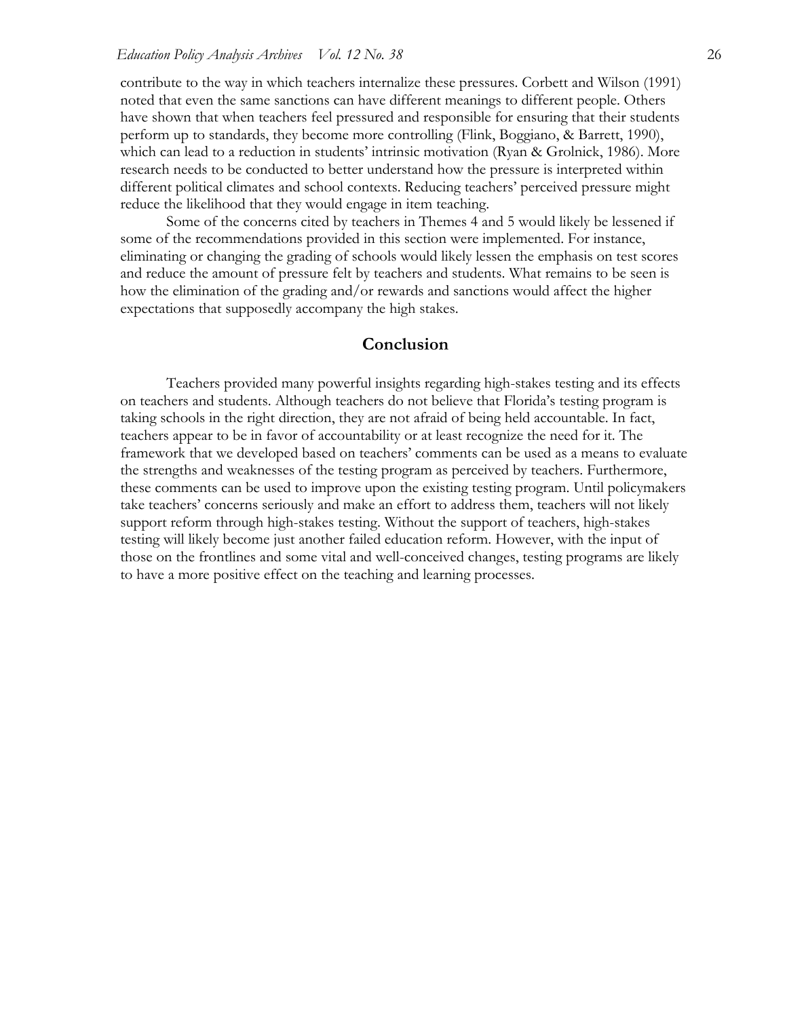contribute to the way in which teachers internalize these pressures. Corbett and Wilson (1991) noted that even the same sanctions can have different meanings to different people. Others have shown that when teachers feel pressured and responsible for ensuring that their students perform up to standards, they become more controlling (Flink, Boggiano, & Barrett, 1990), which can lead to a reduction in students' intrinsic motivation (Ryan & Grolnick, 1986). More research needs to be conducted to better understand how the pressure is interpreted within different political climates and school contexts. Reducing teachers' perceived pressure might reduce the likelihood that they would engage in item teaching.

 Some of the concerns cited by teachers in Themes 4 and 5 would likely be lessened if some of the recommendations provided in this section were implemented. For instance, eliminating or changing the grading of schools would likely lessen the emphasis on test scores and reduce the amount of pressure felt by teachers and students. What remains to be seen is how the elimination of the grading and/or rewards and sanctions would affect the higher expectations that supposedly accompany the high stakes.

## **Conclusion**

 Teachers provided many powerful insights regarding high-stakes testing and its effects on teachers and students. Although teachers do not believe that Florida's testing program is taking schools in the right direction, they are not afraid of being held accountable. In fact, teachers appear to be in favor of accountability or at least recognize the need for it. The framework that we developed based on teachers' comments can be used as a means to evaluate the strengths and weaknesses of the testing program as perceived by teachers. Furthermore, these comments can be used to improve upon the existing testing program. Until policymakers take teachers' concerns seriously and make an effort to address them, teachers will not likely support reform through high-stakes testing. Without the support of teachers, high-stakes testing will likely become just another failed education reform. However, with the input of those on the frontlines and some vital and well-conceived changes, testing programs are likely to have a more positive effect on the teaching and learning processes.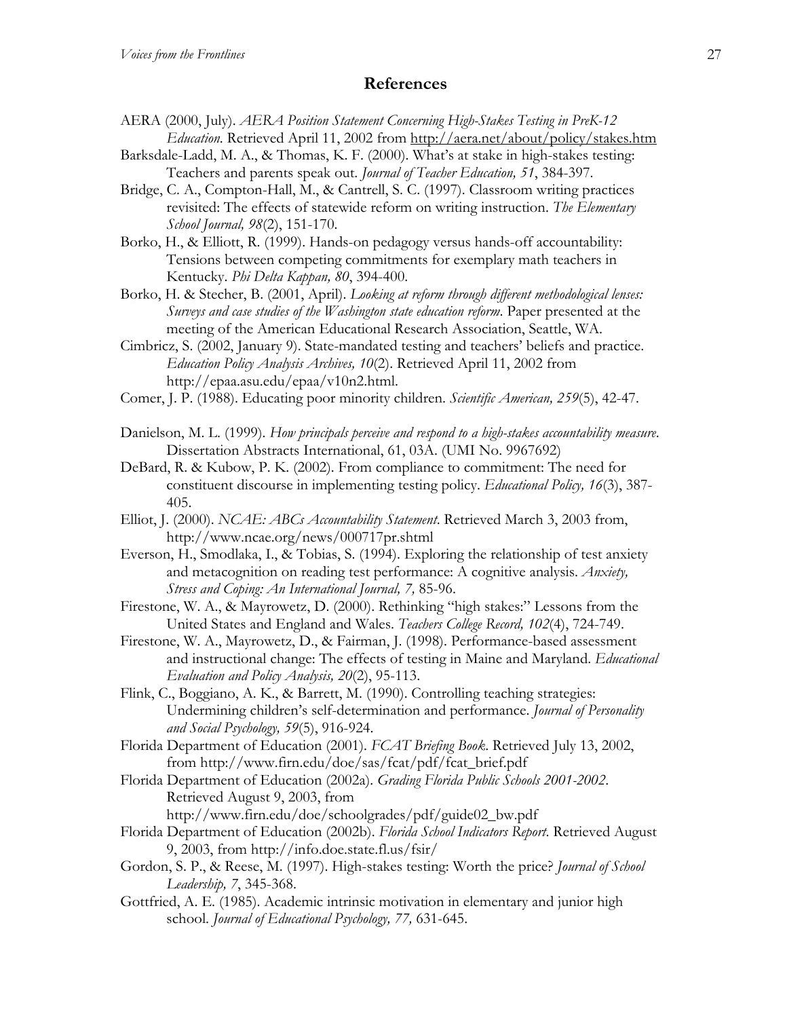# **References**

- AERA (2000, July). *AERA Position Statement Concerning High-Stakes Testing in PreK-12 Education*. Retrieved April 11, 2002 from http://aera.net/about/policy/stakes.htm
- Barksdale-Ladd, M. A., & Thomas, K. F. (2000). What's at stake in high-stakes testing: Teachers and parents speak out. *Journal of Teacher Education, 51*, 384-397.
- Bridge, C. A., Compton-Hall, M., & Cantrell, S. C. (1997). Classroom writing practices revisited: The effects of statewide reform on writing instruction. *The Elementary School Journal, 98*(2), 151-170.
- Borko, H., & Elliott, R. (1999). Hands-on pedagogy versus hands-off accountability: Tensions between competing commitments for exemplary math teachers in Kentucky. *Phi Delta Kappan, 80*, 394-400.
- Borko, H. & Stecher, B. (2001, April). *Looking at reform through different methodological lenses: Surveys and case studies of the Washington state education reform*. Paper presented at the meeting of the American Educational Research Association, Seattle, WA.
- Cimbricz, S. (2002, January 9). State-mandated testing and teachers' beliefs and practice. *Education Policy Analysis Archives, 10*(2). Retrieved April 11, 2002 from http://epaa.asu.edu/epaa/v10n2.html.
- Comer, J. P. (1988). Educating poor minority children. *Scientific American, 259*(5), 42-47.
- Danielson, M. L. (1999). *How principals perceive and respond to a high-stakes accountability measure*. Dissertation Abstracts International, 61, 03A. (UMI No. 9967692)
- DeBard, R. & Kubow, P. K. (2002). From compliance to commitment: The need for constituent discourse in implementing testing policy. *Educational Policy, 16*(3), 387- 405.
- Elliot, J. (2000). *NCAE: ABCs Accountability Statement*. Retrieved March 3, 2003 from, http://www.ncae.org/news/000717pr.shtml
- Everson, H., Smodlaka, I., & Tobias, S. (1994). Exploring the relationship of test anxiety and metacognition on reading test performance: A cognitive analysis. *Anxiety, Stress and Coping: An International Journal, 7,* 85-96.
- Firestone, W. A., & Mayrowetz, D. (2000). Rethinking "high stakes:" Lessons from the United States and England and Wales. *Teachers College Record, 102*(4), 724-749.
- Firestone, W. A., Mayrowetz, D., & Fairman, J. (1998). Performance-based assessment and instructional change: The effects of testing in Maine and Maryland. *Educational Evaluation and Policy Analysis, 20*(2), 95-113.
- Flink, C., Boggiano, A. K., & Barrett, M. (1990). Controlling teaching strategies: Undermining children's self-determination and performance. *Journal of Personality and Social Psychology, 59*(5), 916-924.
- Florida Department of Education (2001). *FCAT Briefing Book*. Retrieved July 13, 2002, from http://www.firn.edu/doe/sas/fcat/pdf/fcat\_brief.pdf
- Florida Department of Education (2002a). *Grading Florida Public Schools 2001-2002*. Retrieved August 9, 2003, from http://www.firn.edu/doe/schoolgrades/pdf/guide02\_bw.pdf
- Florida Department of Education (2002b). *Florida School Indicators Report*. Retrieved August 9, 2003, from http://info.doe.state.fl.us/fsir/
- Gordon, S. P., & Reese, M. (1997). High-stakes testing: Worth the price? *Journal of School Leadership, 7*, 345-368.
- Gottfried, A. E. (1985). Academic intrinsic motivation in elementary and junior high school. *Journal of Educational Psychology, 77,* 631-645.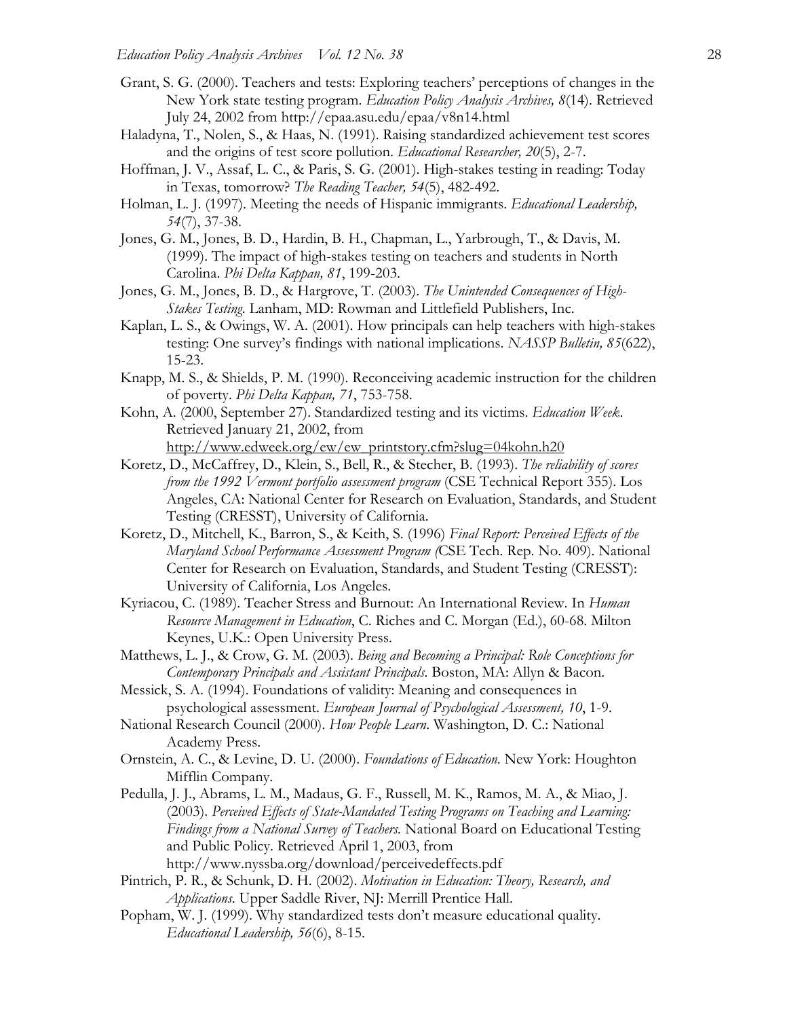- Grant, S. G. (2000). Teachers and tests: Exploring teachers' perceptions of changes in the New York state testing program. *Education Policy Analysis Archives, 8*(14). Retrieved July 24, 2002 from http://epaa.asu.edu/epaa/v8n14.html
- Haladyna, T., Nolen, S., & Haas, N. (1991). Raising standardized achievement test scores and the origins of test score pollution. *Educational Researcher, 20*(5), 2-7.
- Hoffman, J. V., Assaf, L. C., & Paris, S. G. (2001). High-stakes testing in reading: Today in Texas, tomorrow? *The Reading Teacher, 54*(5), 482-492.
- Holman, L. J. (1997). Meeting the needs of Hispanic immigrants. *Educational Leadership, 54*(7), 37-38.
- Jones, G. M., Jones, B. D., Hardin, B. H., Chapman, L., Yarbrough, T., & Davis, M. (1999). The impact of high-stakes testing on teachers and students in North Carolina. *Phi Delta Kappan, 81*, 199-203.
- Jones, G. M., Jones, B. D., & Hargrove, T. (2003). *The Unintended Consequences of High-Stakes Testing*. Lanham, MD: Rowman and Littlefield Publishers, Inc.
- Kaplan, L. S., & Owings, W. A. (2001). How principals can help teachers with high-stakes testing: One survey's findings with national implications. *NASSP Bulletin, 85*(622), 15-23.
- Knapp, M. S., & Shields, P. M. (1990). Reconceiving academic instruction for the children of poverty. *Phi Delta Kappan, 71*, 753-758.
- Kohn, A. (2000, September 27). Standardized testing and its victims. *Education Week*. Retrieved January 21, 2002, from http://www.edweek.org/ew/ew\_printstory.cfm?slug=04kohn.h20
- Koretz, D., McCaffrey, D., Klein, S., Bell, R., & Stecher, B. (1993). *The reliability of scores from the 1992 Vermont portfolio assessment program* (CSE Technical Report 355). Los Angeles, CA: National Center for Research on Evaluation, Standards, and Student Testing (CRESST), University of California.
- Koretz, D., Mitchell, K., Barron, S., & Keith, S. (1996) *Final Report: Perceived Effects of the Maryland School Performance Assessment Program (*CSE Tech. Rep. No. 409). National Center for Research on Evaluation, Standards, and Student Testing (CRESST): University of California, Los Angeles.
- Kyriacou, C. (1989). Teacher Stress and Burnout: An International Review. In *Human Resource Management in Education*, C. Riches and C. Morgan (Ed.), 60-68. Milton Keynes, U.K.: Open University Press.
- Matthews, L. J., & Crow, G. M. (2003). *Being and Becoming a Principal: Role Conceptions for Contemporary Principals and Assistant Principals*. Boston, MA: Allyn & Bacon.
- Messick, S. A. (1994). Foundations of validity: Meaning and consequences in psychological assessment. *European Journal of Psychological Assessment, 10*, 1-9.
- National Research Council (2000). *How People Learn*. Washington, D. C.: National Academy Press.
- Ornstein, A. C., & Levine, D. U. (2000). *Foundations of Education*. New York: Houghton Mifflin Company.
- Pedulla, J. J., Abrams, L. M., Madaus, G. F., Russell, M. K., Ramos, M. A., & Miao, J. (2003). *Perceived Effects of State-Mandated Testing Programs on Teaching and Learning: Findings from a National Survey of Teachers.* National Board on Educational Testing and Public Policy. Retrieved April 1, 2003, from http://www.nyssba.org/download/perceivedeffects.pdf
- Pintrich, P. R., & Schunk, D. H. (2002). *Motivation in Education: Theory, Research, and Applications*. Upper Saddle River, NJ: Merrill Prentice Hall.
- Popham, W. J. (1999). Why standardized tests don't measure educational quality. *Educational Leadership, 56*(6), 8-15.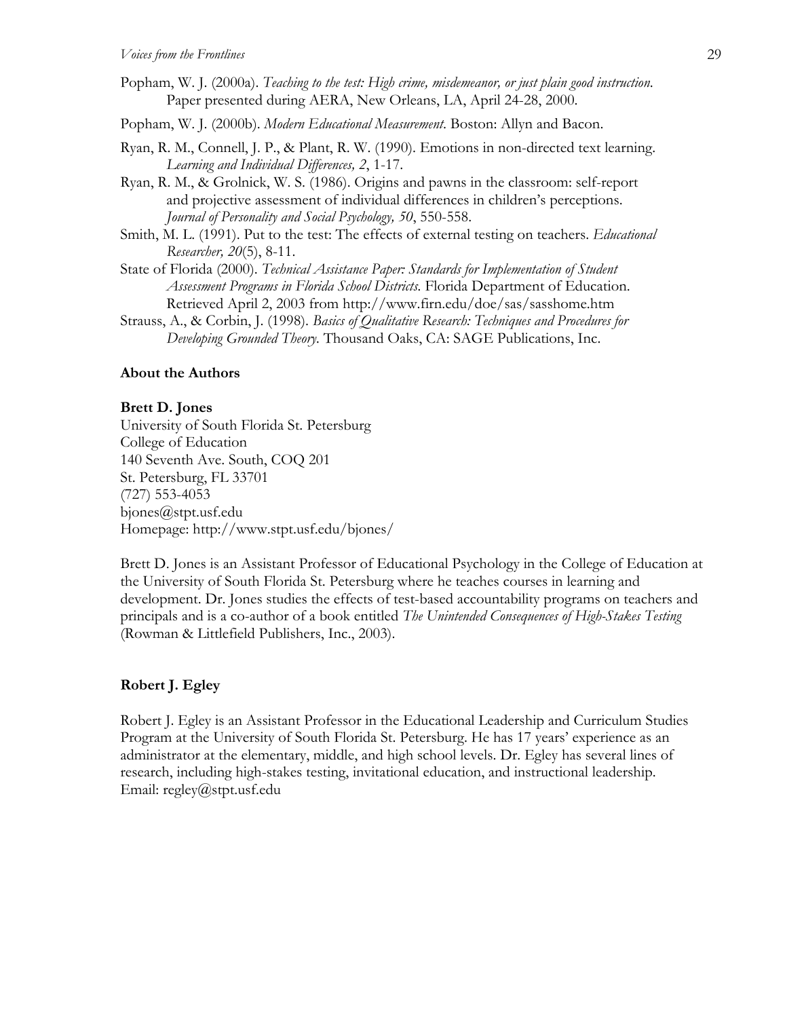- Popham, W. J. (2000a). *Teaching to the test: High crime, misdemeanor, or just plain good instruction*. Paper presented during AERA, New Orleans, LA, April 24-28, 2000.
- Popham, W. J. (2000b). *Modern Educational Measurement*. Boston: Allyn and Bacon.
- Ryan, R. M., Connell, J. P., & Plant, R. W. (1990). Emotions in non-directed text learning. *Learning and Individual Differences, 2*, 1-17.
- Ryan, R. M., & Grolnick, W. S. (1986). Origins and pawns in the classroom: self-report and projective assessment of individual differences in children's perceptions. *Journal of Personality and Social Psychology, 50*, 550-558.
- Smith, M. L. (1991). Put to the test: The effects of external testing on teachers. *Educational Researcher, 20*(5), 8-11.
- State of Florida (2000). *Technical Assistance Paper: Standards for Implementation of Student Assessment Programs in Florida School Districts.* Florida Department of Education. Retrieved April 2, 2003 from http://www.firn.edu/doe/sas/sasshome.htm
- Strauss, A., & Corbin, J. (1998). *Basics of Qualitative Research: Techniques and Procedures for Developing Grounded Theory.* Thousand Oaks, CA: SAGE Publications, Inc.

#### **About the Authors**

#### **Brett D. Jones**

University of South Florida St. Petersburg College of Education 140 Seventh Ave. South, COQ 201 St. Petersburg, FL 33701 (727) 553-4053 bjones@stpt.usf.edu Homepage: http://www.stpt.usf.edu/bjones/

Brett D. Jones is an Assistant Professor of Educational Psychology in the College of Education at the University of South Florida St. Petersburg where he teaches courses in learning and development. Dr. Jones studies the effects of test-based accountability programs on teachers and principals and is a co-author of a book entitled *The Unintended Consequences of High-Stakes Testing*  (Rowman & Littlefield Publishers, Inc., 2003).

#### **Robert J. Egley**

Robert J. Egley is an Assistant Professor in the Educational Leadership and Curriculum Studies Program at the University of South Florida St. Petersburg. He has 17 years' experience as an administrator at the elementary, middle, and high school levels. Dr. Egley has several lines of research, including high-stakes testing, invitational education, and instructional leadership. Email: regley@stpt.usf.edu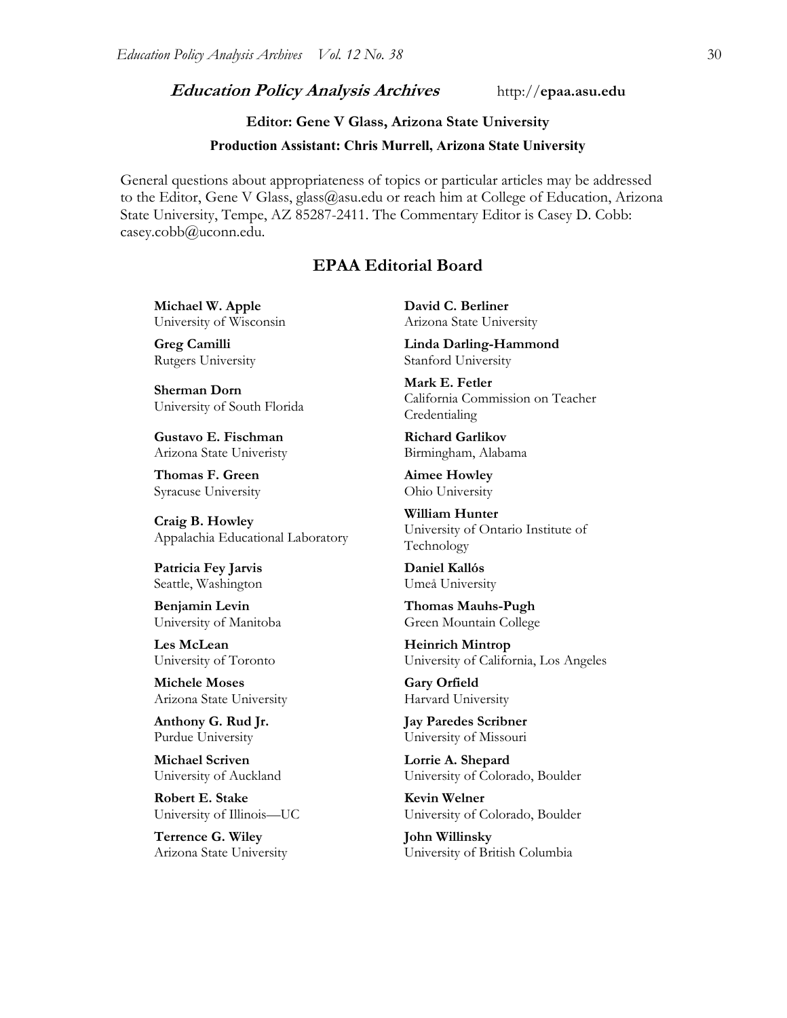## **Education Policy Analysis Archives** http://**epaa.asu.edu**

# **Editor: Gene V Glass, Arizona State University**

#### **Production Assistant: Chris Murrell, Arizona State University**

General questions about appropriateness of topics or particular articles may be addressed to the Editor, Gene V Glass, glass@asu.edu or reach him at College of Education, Arizona State University, Tempe, AZ 85287-2411. The Commentary Editor is Casey D. Cobb: casey.cobb@uconn.edu.

## **EPAA Editorial Board**

**Michael W. Apple** University of Wisconsin

**Greg Camilli** Rutgers University

**Sherman Dorn** University of South Florida

**Gustavo E. Fischman** Arizona State Univeristy

**Thomas F. Green** Syracuse University

**Craig B. Howley** Appalachia Educational Laboratory

**Patricia Fey Jarvis**  Seattle, Washington

**Benjamin Levin** University of Manitoba

**Les McLean** University of Toronto

**Michele Moses** Arizona State University

**Anthony G. Rud Jr.** Purdue University

**Michael Scriven** University of Auckland

**Robert E. Stake**  University of Illinois—UC

**Terrence G. Wiley** Arizona State University **David C. Berliner**  Arizona State University

**Linda Darling-Hammond**  Stanford University

**Mark E. Fetler** California Commission on Teacher Credentialing

**Richard Garlikov** Birmingham, Alabama

**Aimee Howley** Ohio University

**William Hunter** University of Ontario Institute of Technology

**Daniel Kallós** Umeå University

**Thomas Mauhs-Pugh** Green Mountain College

**Heinrich Mintrop**  University of California, Los Angeles

**Gary Orfield** Harvard University

**Jay Paredes Scribner** University of Missouri

**Lorrie A. Shepard** University of Colorado, Boulder

**Kevin Welner** University of Colorado, Boulder

**John Willinsky** University of British Columbia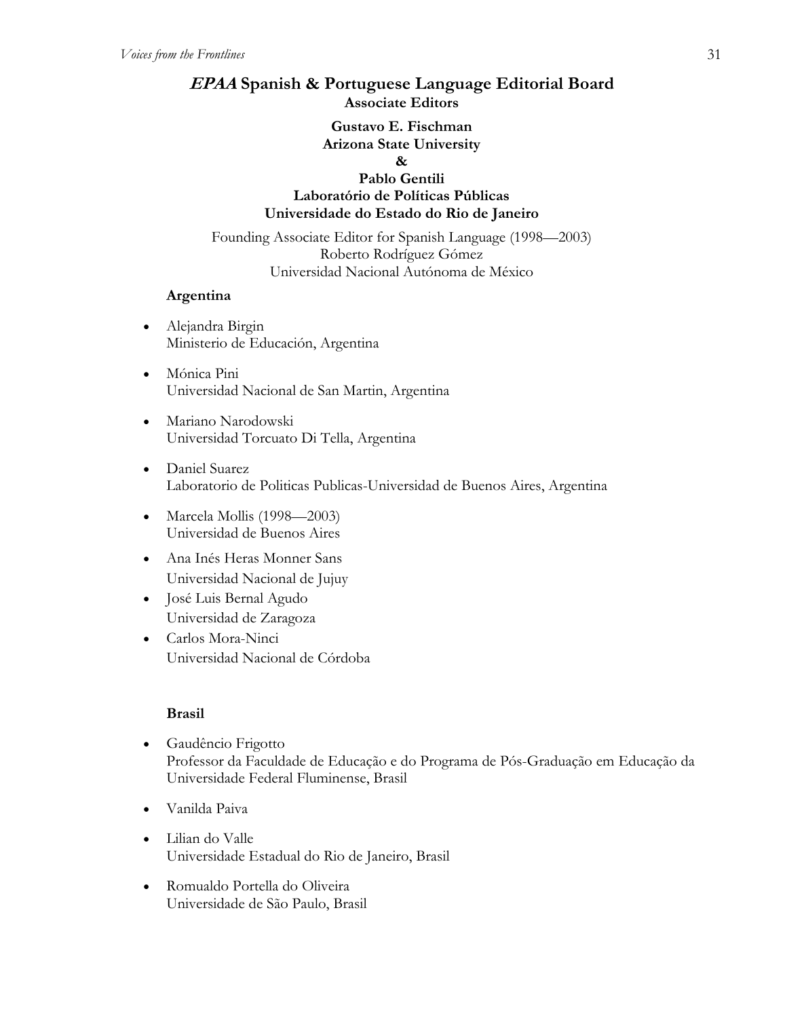# **EPAA Spanish & Portuguese Language Editorial Board Associate Editors**

## **Gustavo E. Fischman Arizona State University &**

# **Pablo Gentili Laboratório de Políticas Públicas Universidade do Estado do Rio de Janeiro**

Founding Associate Editor for Spanish Language (1998—2003) Roberto Rodríguez Gómez Universidad Nacional Autónoma de México

# **Argentina**

- Alejandra Birgin Ministerio de Educación, Argentina
- Mónica Pini Universidad Nacional de San Martin, Argentina
- Mariano Narodowski Universidad Torcuato Di Tella, Argentina
- Daniel Suarez Laboratorio de Politicas Publicas-Universidad de Buenos Aires, Argentina
- Marcela Mollis (1998—2003) Universidad de Buenos Aires
- Ana Inés Heras Monner Sans Universidad Nacional de Jujuy
- José Luis Bernal Agudo Universidad de Zaragoza
- Carlos Mora-Ninci Universidad Nacional de Córdoba

# **Brasil**

- Gaudêncio Frigotto Professor da Faculdade de Educação e do Programa de Pós-Graduação em Educação da Universidade Federal Fluminense, Brasil
- Vanilda Paiva
- Lilian do Valle Universidade Estadual do Rio de Janeiro, Brasil
- Romualdo Portella do Oliveira Universidade de São Paulo, Brasil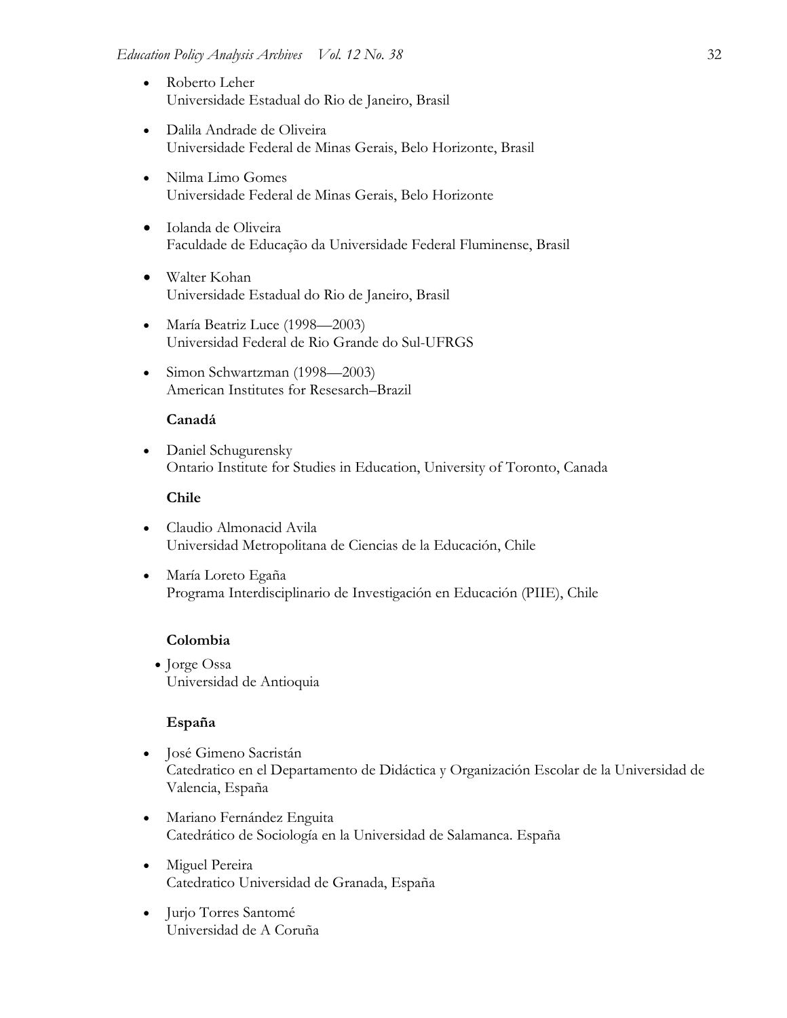- Roberto Leher Universidade Estadual do Rio de Janeiro, Brasil
- Dalila Andrade de Oliveira Universidade Federal de Minas Gerais, Belo Horizonte, Brasil
- Nilma Limo Gomes Universidade Federal de Minas Gerais, Belo Horizonte
- Iolanda de Oliveira Faculdade de Educação da Universidade Federal Fluminense, Brasil
- Walter Kohan Universidade Estadual do Rio de Janeiro, Brasil
- María Beatriz Luce (1998—2003) Universidad Federal de Rio Grande do Sul-UFRGS
- Simon Schwartzman (1998—2003) American Institutes for Resesarch–Brazil

## **Canadá**

• Daniel Schugurensky Ontario Institute for Studies in Education, University of Toronto, Canada

## **Chile**

- Claudio Almonacid Avila Universidad Metropolitana de Ciencias de la Educación, Chile
- María Loreto Egaña Programa Interdisciplinario de Investigación en Educación (PIIE), Chile

## **Colombia**

• Jorge Ossa Universidad de Antioquia

#### **España**

- José Gimeno Sacristán Catedratico en el Departamento de Didáctica y Organización Escolar de la Universidad de Valencia, España
- Mariano Fernández Enguita Catedrático de Sociología en la Universidad de Salamanca. España
- Miguel Pereira Catedratico Universidad de Granada, España
- Jurjo Torres Santomé Universidad de A Coruña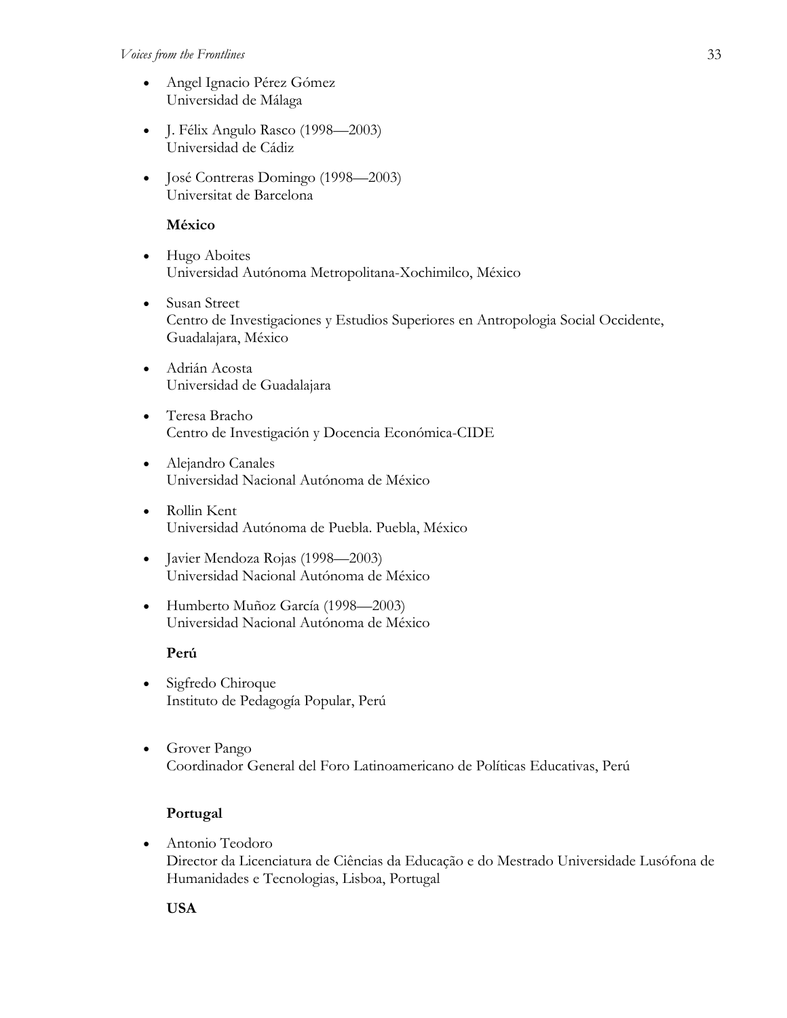#### *Voices from the Frontlines* 33

- Angel Ignacio Pérez Gómez Universidad de Málaga
- J. Félix Angulo Rasco (1998—2003) Universidad de Cádiz
- José Contreras Domingo (1998—2003) Universitat de Barcelona

# **México**

- Hugo Aboites Universidad Autónoma Metropolitana-Xochimilco, México
- Susan Street Centro de Investigaciones y Estudios Superiores en Antropologia Social Occidente, Guadalajara, México
- Adrián Acosta Universidad de Guadalajara
- Teresa Bracho Centro de Investigación y Docencia Económica-CIDE
- Alejandro Canales Universidad Nacional Autónoma de México
- Rollin Kent Universidad Autónoma de Puebla. Puebla, México
- Javier Mendoza Rojas (1998—2003) Universidad Nacional Autónoma de México
- Humberto Muñoz García (1998—2003) Universidad Nacional Autónoma de México

# **Perú**

- Sigfredo Chiroque Instituto de Pedagogía Popular, Perú
- Grover Pango Coordinador General del Foro Latinoamericano de Políticas Educativas, Perú

# **Portugal**

• Antonio Teodoro Director da Licenciatura de Ciências da Educação e do Mestrado Universidade Lusófona de Humanidades e Tecnologias, Lisboa, Portugal

**USA**